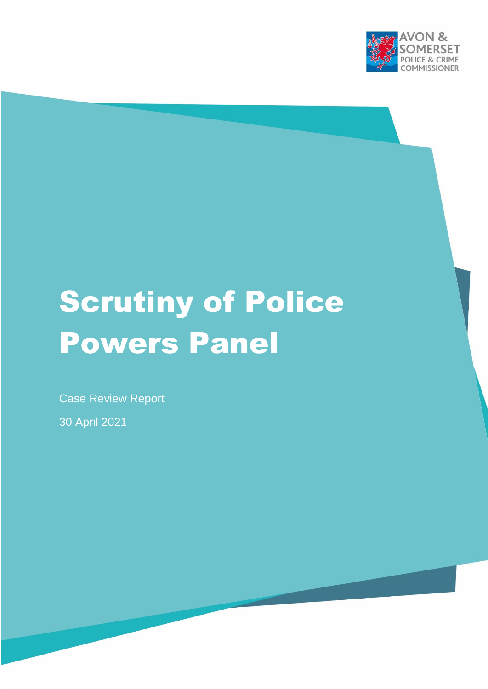

# Scrutiny of Police Powers Panel

Case Review Report

30 April 2021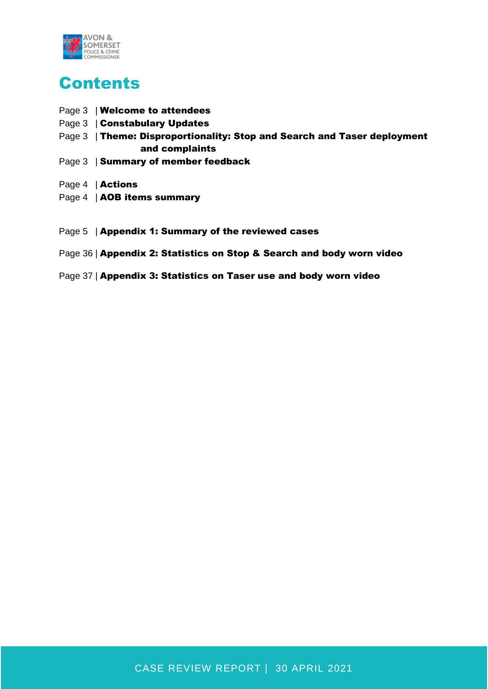

# **Contents**

- Page 3 | Welcome to attendees
- Page 3 | Constabulary Updates
- Page 3 | Theme: Disproportionality: Stop and Search and Taser deployment and complaints
- Page 3 | Summary of member feedback
- Page 4 | Actions
- Page 4 | AOB items summary
- Page 5 | Appendix 1: Summary of the reviewed cases

#### Page 36 | Appendix 2: Statistics on Stop & Search and body worn video

Page 37 | Appendix 3: Statistics on Taser use and body worn video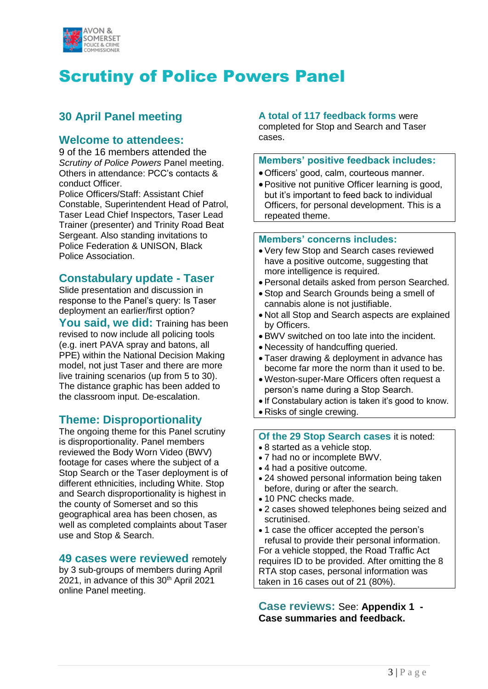

# Scrutiny of Police Powers Panel

# **30 April Panel meeting**

### **Welcome to attendees:**

9 of the 16 members attended the *Scrutiny of Police Powers* Panel meeting. Others in attendance: PCC's contacts & conduct Officer.

Police Officers/Staff: Assistant Chief Constable, Superintendent Head of Patrol, Taser Lead Chief Inspectors, Taser Lead Trainer (presenter) and Trinity Road Beat Sergeant. Also standing invitations to Police Federation & UNISON, Black Police Association.

### **Constabulary update - Taser**

Slide presentation and discussion in response to the Panel's query: Is Taser deployment an earlier/first option?

You said, we did: Training has been revised to now include all policing tools (e.g. inert PAVA spray and batons, all PPE) within the National Decision Making model, not just Taser and there are more live training scenarios (up from 5 to 30). The distance graphic has been added to the classroom input. De-escalation.

# **Theme: Disproportionality**

The ongoing theme for this Panel scrutiny is disproportionality. Panel members reviewed the Body Worn Video (BWV) footage for cases where the subject of a Stop Search or the Taser deployment is of different ethnicities, including White. Stop and Search disproportionality is highest in the county of Somerset and so this geographical area has been chosen, as well as completed complaints about Taser use and Stop & Search.

#### **49 cases were reviewed** remotely

by 3 sub-groups of members during April 2021, in advance of this 30<sup>th</sup> April 2021 online Panel meeting.

#### **A total of 117 feedback forms** were

completed for Stop and Search and Taser cases.

#### **Members' positive feedback includes:**

- Officers' good, calm, courteous manner.
- Positive not punitive Officer learning is good, but it's important to feed back to individual Officers, for personal development. This is a repeated theme.

#### **Members' concerns includes:**

- Very few Stop and Search cases reviewed have a positive outcome, suggesting that more intelligence is required.
- Personal details asked from person Searched.
- Stop and Search Grounds being a smell of cannabis alone is not justifiable.
- Not all Stop and Search aspects are explained by Officers.
- BWV switched on too late into the incident.
- Necessity of handcuffing queried.
- Taser drawing & deployment in advance has become far more the norm than it used to be.
- Weston-super-Mare Officers often request a person's name during a Stop Search.
- If Constabulary action is taken it's good to know.
- Risks of single crewing.

#### **Of the 29 Stop Search cases** it is noted:

- 8 started as a vehicle stop.
- 7 had no or incomplete BWV.
- 4 had a positive outcome.
- 24 showed personal information being taken before, during or after the search.
- 10 PNC checks made.
- 2 cases showed telephones being seized and scrutinised.
- 1 case the officer accepted the person's refusal to provide their personal information. For a vehicle stopped, the Road Traffic Act requires ID to be provided. After omitting the 8 RTA stop cases, personal information was taken in 16 cases out of 21 (80%).

**Case reviews:** See: **Appendix 1 - Case summaries and feedback.**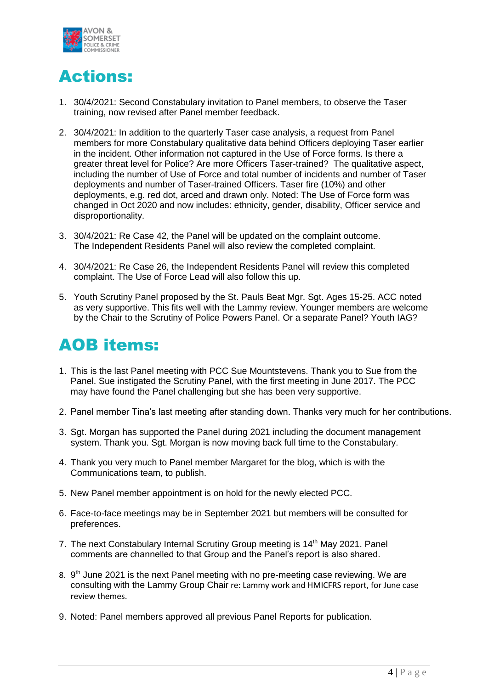

# Actions:

- 1. 30/4/2021: Second Constabulary invitation to Panel members, to observe the Taser training, now revised after Panel member feedback.
- 2. 30/4/2021: In addition to the quarterly Taser case analysis, a request from Panel members for more Constabulary qualitative data behind Officers deploying Taser earlier in the incident. Other information not captured in the Use of Force forms. Is there a greater threat level for Police? Are more Officers Taser-trained? The qualitative aspect, including the number of Use of Force and total number of incidents and number of Taser deployments and number of Taser-trained Officers. Taser fire (10%) and other deployments, e.g. red dot, arced and drawn only. Noted: The Use of Force form was changed in Oct 2020 and now includes: ethnicity, gender, disability, Officer service and disproportionality.
- 3. 30/4/2021: Re Case 42, the Panel will be updated on the complaint outcome. The Independent Residents Panel will also review the completed complaint.
- 4. 30/4/2021: Re Case 26, the Independent Residents Panel will review this completed complaint. The Use of Force Lead will also follow this up.
- 5. Youth Scrutiny Panel proposed by the St. Pauls Beat Mgr. Sgt. Ages 15-25. ACC noted as very supportive. This fits well with the Lammy review. Younger members are welcome by the Chair to the Scrutiny of Police Powers Panel. Or a separate Panel? Youth IAG?

# AOB items:

- 1. This is the last Panel meeting with PCC Sue Mountstevens. Thank you to Sue from the Panel. Sue instigated the Scrutiny Panel, with the first meeting in June 2017. The PCC may have found the Panel challenging but she has been very supportive.
- 2. Panel member Tina's last meeting after standing down. Thanks very much for her contributions.
- 3. Sgt. Morgan has supported the Panel during 2021 including the document management system. Thank you. Sgt. Morgan is now moving back full time to the Constabulary.
- 4. Thank you very much to Panel member Margaret for the blog, which is with the Communications team, to publish.
- 5. New Panel member appointment is on hold for the newly elected PCC.
- 6. Face-to-face meetings may be in September 2021 but members will be consulted for preferences.
- 7. The next Constabulary Internal Scrutiny Group meeting is 14<sup>th</sup> May 2021. Panel comments are channelled to that Group and the Panel's report is also shared.
- 8. 9<sup>th</sup> June 2021 is the next Panel meeting with no pre-meeting case reviewing. We are consulting with the Lammy Group Chair re: Lammy work and HMICFRS report, for June case review themes.
- 9. Noted: Panel members approved all previous Panel Reports for publication.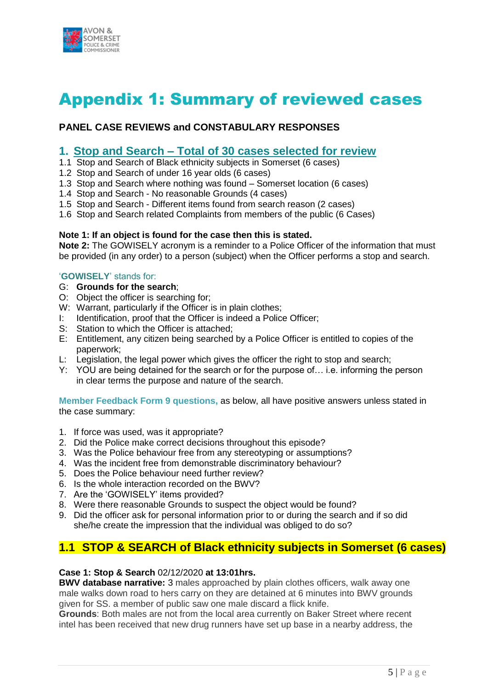

# Appendix 1: Summary of reviewed cases

### **PANEL CASE REVIEWS and CONSTABULARY RESPONSES**

#### **1. Stop and Search – Total of 30 cases selected for review**

- 1.1 Stop and Search of Black ethnicity subjects in Somerset (6 cases)
- 1.2 Stop and Search of under 16 year olds (6 cases)
- 1.3 Stop and Search where nothing was found Somerset location (6 cases)
- 1.4 Stop and Search No reasonable Grounds (4 cases)
- 1.5 Stop and Search Different items found from search reason (2 cases)
- 1.6 Stop and Search related Complaints from members of the public (6 Cases)

#### **Note 1: If an object is found for the case then this is stated.**

**Note 2:** The GOWISELY acronym is a reminder to a Police Officer of the information that must be provided (in any order) to a person (subject) when the Officer performs a stop and search.

#### '**GOWISELY**' stands for:

- G: **Grounds for the search**;
- O: Object the officer is searching for;
- W: Warrant, particularly if the Officer is in plain clothes;
- I: Identification, proof that the Officer is indeed a Police Officer;
- S: Station to which the Officer is attached;
- E: Entitlement, any citizen being searched by a Police Officer is entitled to copies of the paperwork;
- L: Legislation, the legal power which gives the officer the right to stop and search;
- Y: YOU are being detained for the search or for the purpose of… i.e. informing the person in clear terms the purpose and nature of the search.

**Member Feedback Form 9 questions,** as below, all have positive answers unless stated in the case summary:

- 1. If force was used, was it appropriate?
- 2. Did the Police make correct decisions throughout this episode?
- 3. Was the Police behaviour free from any stereotyping or assumptions?
- 4. Was the incident free from demonstrable discriminatory behaviour?
- 5. Does the Police behaviour need further review?
- 6. Is the whole interaction recorded on the BWV?
- 7. Are the 'GOWISELY' items provided?
- 8. Were there reasonable Grounds to suspect the object would be found?
- 9. Did the officer ask for personal information prior to or during the search and if so did she/he create the impression that the individual was obliged to do so?

# **1.1 STOP & SEARCH of Black ethnicity subjects in Somerset (6 cases)**

#### **Case 1: Stop & Search** 02/12/2020 **at 13:01hrs.**

**BWV database narrative:** 3 males approached by plain clothes officers, walk away one male walks down road to hers carry on they are detained at 6 minutes into BWV grounds given for SS. a member of public saw one male discard a flick knife.

**Grounds**: Both males are not from the local area currently on Baker Street where recent intel has been received that new drug runners have set up base in a nearby address, the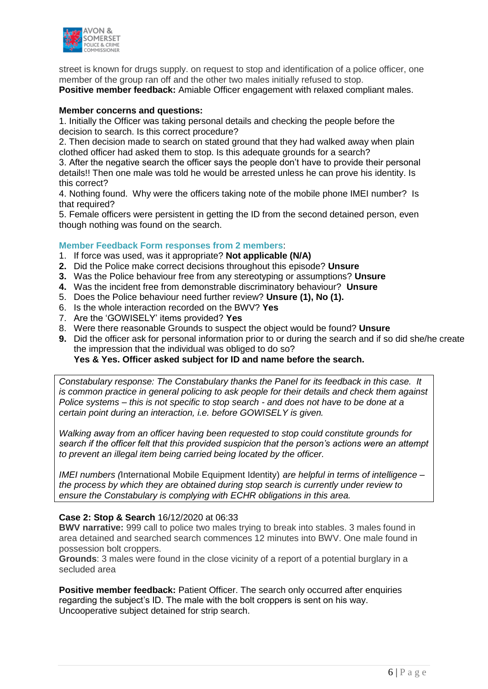

street is known for drugs supply. on request to stop and identification of a police officer, one member of the group ran off and the other two males initially refused to stop.

**Positive member feedback:** Amiable Officer engagement with relaxed compliant males.

#### **Member concerns and questions:**

1. Initially the Officer was taking personal details and checking the people before the decision to search. Is this correct procedure?

2. Then decision made to search on stated ground that they had walked away when plain clothed officer had asked them to stop. Is this adequate grounds for a search?

3. After the negative search the officer says the people don't have to provide their personal details!! Then one male was told he would be arrested unless he can prove his identity. Is this correct?

4. Nothing found. Why were the officers taking note of the mobile phone IMEI number? Is that required?

5. Female officers were persistent in getting the ID from the second detained person, even though nothing was found on the search.

#### **Member Feedback Form responses from 2 members**:

- 1. If force was used, was it appropriate? **Not applicable (N/A)**
- **2.** Did the Police make correct decisions throughout this episode? **Unsure**
- **3.** Was the Police behaviour free from any stereotyping or assumptions? **Unsure**
- **4.** Was the incident free from demonstrable discriminatory behaviour? **Unsure**
- 5. Does the Police behaviour need further review? **Unsure (1), No (1).**
- 6. Is the whole interaction recorded on the BWV? **Yes**
- 7. Are the 'GOWISELY' items provided? **Yes**
- 8. Were there reasonable Grounds to suspect the object would be found? **Unsure**
- **9.** Did the officer ask for personal information prior to or during the search and if so did she/he create the impression that the individual was obliged to do so?

#### **Yes & Yes. Officer asked subject for ID and name before the search.**

*Constabulary response: The Constabulary thanks the Panel for its feedback in this case. It is common practice in general policing to ask people for their details and check them against Police systems – this is not specific to stop search - and does not have to be done at a certain point during an interaction, i.e. before GOWISELY is given.*

*Walking away from an officer having been requested to stop could constitute grounds for search if the officer felt that this provided suspicion that the person's actions were an attempt to prevent an illegal item being carried being located by the officer.*

*IMEI numbers (*International Mobile Equipment Identity) *are helpful in terms of intelligence – the process by which they are obtained during stop search is currently under review to ensure the Constabulary is complying with ECHR obligations in this area.*

#### **Case 2: Stop & Search** 16/12/2020 at 06:33

**BWV narrative:** 999 call to police two males trying to break into stables. 3 males found in area detained and searched search commences 12 minutes into BWV. One male found in possession bolt croppers.

**Grounds**: 3 males were found in the close vicinity of a report of a potential burglary in a secluded area

**Positive member feedback:** Patient Officer. The search only occurred after enquiries regarding the subject's ID. The male with the bolt croppers is sent on his way. Uncooperative subject detained for strip search.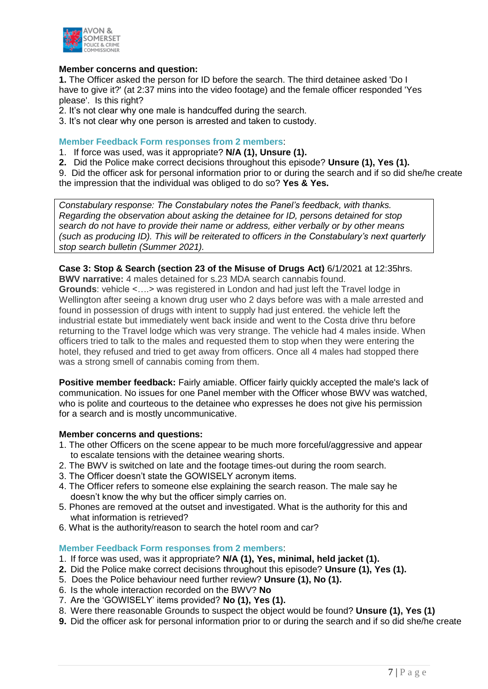

#### **Member concerns and question:**

**1.** The Officer asked the person for ID before the search. The third detainee asked 'Do I have to give it?' (at 2:37 mins into the video footage) and the female officer responded 'Yes please'. Is this right?

2. It's not clear why one male is handcuffed during the search.

3. It's not clear why one person is arrested and taken to custody.

#### **Member Feedback Form responses from 2 members**:

- 1. If force was used, was it appropriate? **N/A (1), Unsure (1).**
- **2.** Did the Police make correct decisions throughout this episode? **Unsure (1), Yes (1).**

9. Did the officer ask for personal information prior to or during the search and if so did she/he create the impression that the individual was obliged to do so? **Yes & Yes.** 

*Constabulary response: The Constabulary notes the Panel's feedback, with thanks. Regarding the observation about asking the detainee for ID, persons detained for stop search do not have to provide their name or address, either verbally or by other means (such as producing ID). This will be reiterated to officers in the Constabulary's next quarterly stop search bulletin (Summer 2021).*

#### **Case 3: Stop & Search (section 23 of the Misuse of Drugs Act)** 6/1/2021 at 12:35hrs.

**BWV narrative:** 4 males detained for s.23 MDA search cannabis found. **Grounds**: vehicle <….> was registered in London and had just left the Travel lodge in Wellington after seeing a known drug user who 2 days before was with a male arrested and found in possession of drugs with intent to supply had just entered. the vehicle left the industrial estate but immediately went back inside and went to the Costa drive thru before returning to the Travel lodge which was very strange. The vehicle had 4 males inside. When officers tried to talk to the males and requested them to stop when they were entering the hotel, they refused and tried to get away from officers. Once all 4 males had stopped there was a strong smell of cannabis coming from them.

**Positive member feedback:** Fairly amiable. Officer fairly quickly accepted the male's lack of communication. No issues for one Panel member with the Officer whose BWV was watched, who is polite and courteous to the detainee who expresses he does not give his permission for a search and is mostly uncommunicative.

#### **Member concerns and questions:**

- 1. The other Officers on the scene appear to be much more forceful/aggressive and appear to escalate tensions with the detainee wearing shorts.
- 2. The BWV is switched on late and the footage times-out during the room search.
- 3. The Officer doesn't state the GOWISELY acronym items.
- 4. The Officer refers to someone else explaining the search reason. The male say he doesn't know the why but the officer simply carries on.
- 5. Phones are removed at the outset and investigated. What is the authority for this and what information is retrieved?
- 6. What is the authority/reason to search the hotel room and car?

#### **Member Feedback Form responses from 2 members**:

- 1. If force was used, was it appropriate? **N/A (1), Yes, minimal, held jacket (1).**
- **2.** Did the Police make correct decisions throughout this episode? **Unsure (1), Yes (1).**
- 5. Does the Police behaviour need further review? **Unsure (1), No (1).**
- 6. Is the whole interaction recorded on the BWV? **No**
- 7. Are the 'GOWISELY' items provided? **No (1), Yes (1).**
- 8. Were there reasonable Grounds to suspect the object would be found? **Unsure (1), Yes (1)**
- **9.** Did the officer ask for personal information prior to or during the search and if so did she/he create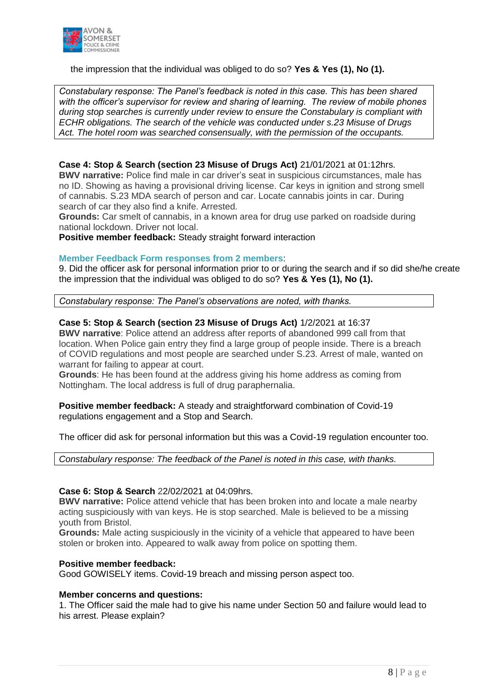

#### the impression that the individual was obliged to do so? **Yes & Yes (1), No (1).**

*Constabulary response: The Panel's feedback is noted in this case. This has been shared with the officer's supervisor for review and sharing of learning. The review of mobile phones during stop searches is currently under review to ensure the Constabulary is compliant with ECHR obligations. The search of the vehicle was conducted under s.23 Misuse of Drugs Act. The hotel room was searched consensually, with the permission of the occupants.*

#### **Case 4: Stop & Search (section 23 Misuse of Drugs Act)** 21/01/2021 at 01:12hrs.

**BWV narrative:** Police find male in car driver's seat in suspicious circumstances, male has no ID. Showing as having a provisional driving license. Car keys in ignition and strong smell of cannabis. S.23 MDA search of person and car. Locate cannabis joints in car. During search of car they also find a knife. Arrested.

**Grounds:** Car smelt of cannabis, in a known area for drug use parked on roadside during national lockdown. Driver not local.

**Positive member feedback:** Steady straight forward interaction

#### **Member Feedback Form responses from 2 members**:

9. Did the officer ask for personal information prior to or during the search and if so did she/he create the impression that the individual was obliged to do so? **Yes & Yes (1), No (1).**

*Constabulary response: The Panel's observations are noted, with thanks.*

#### **Case 5: Stop & Search (section 23 Misuse of Drugs Act)** 1/2/2021 at 16:37

**BWV narrative**: Police attend an address after reports of abandoned 999 call from that location. When Police gain entry they find a large group of people inside. There is a breach of COVID regulations and most people are searched under S.23. Arrest of male, wanted on warrant for failing to appear at court.

**Grounds**: He has been found at the address giving his home address as coming from Nottingham. The local address is full of drug paraphernalia.

**Positive member feedback:** A steady and straightforward combination of Covid-19 regulations engagement and a Stop and Search.

The officer did ask for personal information but this was a Covid-19 regulation encounter too.

*Constabulary response: The feedback of the Panel is noted in this case, with thanks.*

#### **Case 6: Stop & Search** 22/02/2021 at 04:09hrs.

**BWV narrative:** Police attend vehicle that has been broken into and locate a male nearby acting suspiciously with van keys. He is stop searched. Male is believed to be a missing youth from Bristol.

**Grounds:** Male acting suspiciously in the vicinity of a vehicle that appeared to have been stolen or broken into. Appeared to walk away from police on spotting them.

#### **Positive member feedback:**

Good GOWISELY items. Covid-19 breach and missing person aspect too.

#### **Member concerns and questions:**

1. The Officer said the male had to give his name under Section 50 and failure would lead to his arrest. Please explain?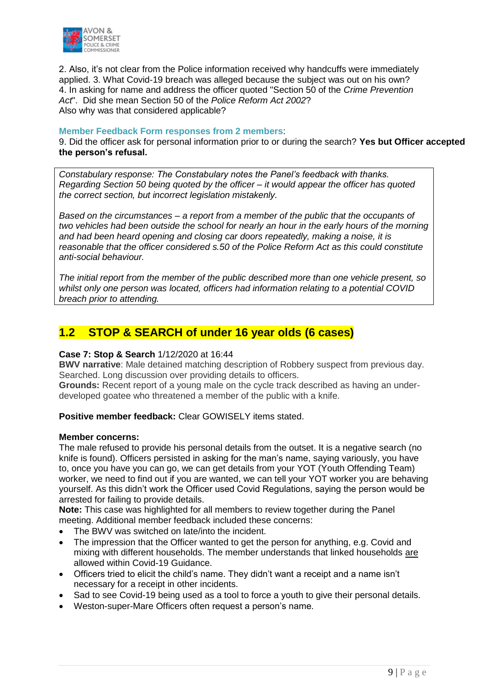

2. Also, it's not clear from the Police information received why handcuffs were immediately applied. 3. What Covid-19 breach was alleged because the subject was out on his own? 4. In asking for name and address the officer quoted "Section 50 of the *Crime Prevention Act*". Did she mean Section 50 of the *Police Reform Act 2002*? Also why was that considered applicable?

#### **Member Feedback Form responses from 2 members**:

9. Did the officer ask for personal information prior to or during the search? **Yes but Officer accepted the person's refusal.**

*Constabulary response: The Constabulary notes the Panel's feedback with thanks. Regarding Section 50 being quoted by the officer – it would appear the officer has quoted the correct section, but incorrect legislation mistakenly.*

*Based on the circumstances – a report from a member of the public that the occupants of two vehicles had been outside the school for nearly an hour in the early hours of the morning and had been heard opening and closing car doors repeatedly, making a noise, it is reasonable that the officer considered s.50 of the Police Reform Act as this could constitute anti-social behaviour.*

*The initial report from the member of the public described more than one vehicle present, so whilst only one person was located, officers had information relating to a potential COVID breach prior to attending.*

# **1.2 STOP & SEARCH of under 16 year olds (6 cases)**

#### **Case 7: Stop & Search** 1/12/2020 at 16:44

**BWV narrative**: Male detained matching description of Robbery suspect from previous day. Searched. Long discussion over providing details to officers.

**Grounds:** Recent report of a young male on the cycle track described as having an underdeveloped goatee who threatened a member of the public with a knife.

**Positive member feedback:** Clear GOWISELY items stated.

#### **Member concerns:**

The male refused to provide his personal details from the outset. It is a negative search (no knife is found). Officers persisted in asking for the man's name, saying variously, you have to, once you have you can go, we can get details from your YOT (Youth Offending Team) worker, we need to find out if you are wanted, we can tell your YOT worker you are behaving yourself. As this didn't work the Officer used Covid Regulations, saying the person would be arrested for failing to provide details.

**Note:** This case was highlighted for all members to review together during the Panel meeting. Additional member feedback included these concerns:

- The BWV was switched on late/into the incident.
- The impression that the Officer wanted to get the person for anything, e.g. Covid and mixing with different households. The member understands that linked households are allowed within Covid-19 Guidance.
- Officers tried to elicit the child's name. They didn't want a receipt and a name isn't necessary for a receipt in other incidents.
- Sad to see Covid-19 being used as a tool to force a youth to give their personal details.
- Weston-super-Mare Officers often request a person's name.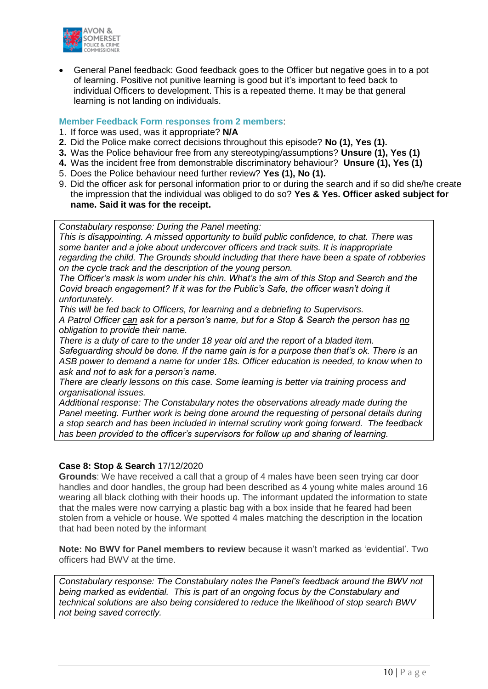

 General Panel feedback: Good feedback goes to the Officer but negative goes in to a pot of learning. Positive not punitive learning is good but it's important to feed back to individual Officers to development. This is a repeated theme. It may be that general learning is not landing on individuals.

#### **Member Feedback Form responses from 2 members**:

- 1. If force was used, was it appropriate? **N/A**
- **2.** Did the Police make correct decisions throughout this episode? **No (1), Yes (1).**
- **3.** Was the Police behaviour free from any stereotyping/assumptions? **Unsure (1), Yes (1)**
- **4.** Was the incident free from demonstrable discriminatory behaviour? **Unsure (1), Yes (1)**
- 5. Does the Police behaviour need further review? **Yes (1), No (1).**
- 9. Did the officer ask for personal information prior to or during the search and if so did she/he create the impression that the individual was obliged to do so? **Yes & Yes. Officer asked subject for name. Said it was for the receipt.**

*Constabulary response: During the Panel meeting:*

*This is disappointing. A missed opportunity to build public confidence, to chat. There was some banter and a joke about undercover officers and track suits. It is inappropriate regarding the child. The Grounds should including that there have been a spate of robberies on the cycle track and the description of the young person.* 

*The Officer's mask is worn under his chin. What's the aim of this Stop and Search and the Covid breach engagement? If it was for the Public's Safe, the officer wasn't doing it unfortunately.* 

*This will be fed back to Officers, for learning and a debriefing to Supervisors.* 

*A Patrol Officer can ask for a person's name, but for a Stop & Search the person has no obligation to provide their name.* 

*There is a duty of care to the under 18 year old and the report of a bladed item. Safeguarding should be done. If the name gain is for a purpose then that's ok. There is an ASB power to demand a name for under 18s. Officer education is needed, to know when to ask and not to ask for a person's name.* 

*There are clearly lessons on this case. Some learning is better via training process and organisational issues.* 

*Additional response: The Constabulary notes the observations already made during the Panel meeting. Further work is being done around the requesting of personal details during a stop search and has been included in internal scrutiny work going forward. The feedback has been provided to the officer's supervisors for follow up and sharing of learning.*

#### **Case 8: Stop & Search** 17/12/2020

**Grounds**: We have received a call that a group of 4 males have been seen trying car door handles and door handles, the group had been described as 4 young white males around 16 wearing all black clothing with their hoods up. The informant updated the information to state that the males were now carrying a plastic bag with a box inside that he feared had been stolen from a vehicle or house. We spotted 4 males matching the description in the location that had been noted by the informant

**Note: No BWV for Panel members to review** because it wasn't marked as 'evidential'. Two officers had BWV at the time.

*Constabulary response: The Constabulary notes the Panel's feedback around the BWV not being marked as evidential. This is part of an ongoing focus by the Constabulary and technical solutions are also being considered to reduce the likelihood of stop search BWV not being saved correctly.*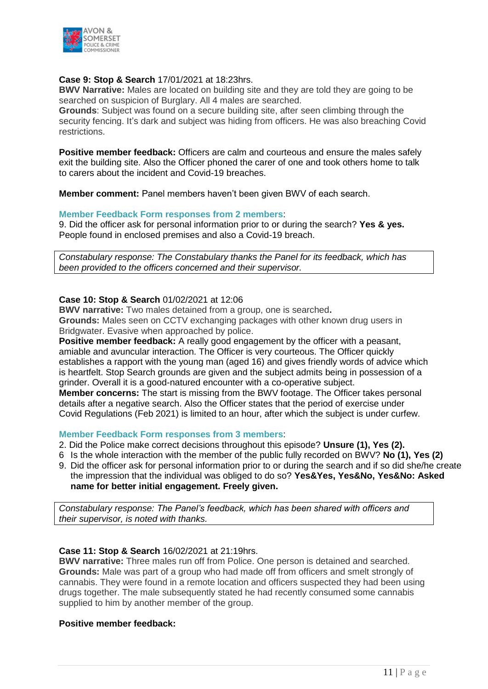

#### **Case 9: Stop & Search** 17/01/2021 at 18:23hrs.

**BWV Narrative:** Males are located on building site and they are told they are going to be searched on suspicion of Burglary. All 4 males are searched.

**Grounds**: Subject was found on a secure building site, after seen climbing through the security fencing. It's dark and subject was hiding from officers. He was also breaching Covid restrictions.

**Positive member feedback:** Officers are calm and courteous and ensure the males safely exit the building site. Also the Officer phoned the carer of one and took others home to talk to carers about the incident and Covid-19 breaches.

**Member comment:** Panel members haven't been given BWV of each search.

#### **Member Feedback Form responses from 2 members**:

9. Did the officer ask for personal information prior to or during the search? **Yes & yes.**  People found in enclosed premises and also a Covid-19 breach.

*Constabulary response: The Constabulary thanks the Panel for its feedback, which has been provided to the officers concerned and their supervisor.*

#### **Case 10: Stop & Search** 01/02/2021 at 12:06

**BWV narrative:** Two males detained from a group, one is searched**.**

**Grounds:** Males seen on CCTV exchanging packages with other known drug users in Bridgwater. Evasive when approached by police.

**Positive member feedback:** A really good engagement by the officer with a peasant, amiable and avuncular interaction. The Officer is very courteous. The Officer quickly establishes a rapport with the young man (aged 16) and gives friendly words of advice which is heartfelt. Stop Search grounds are given and the subject admits being in possession of a grinder. Overall it is a good-natured encounter with a co-operative subject.

**Member concerns:** The start is missing from the BWV footage. The Officer takes personal details after a negative search. Also the Officer states that the period of exercise under Covid Regulations (Feb 2021) is limited to an hour, after which the subject is under curfew.

#### **Member Feedback Form responses from 3 members**:

- 2. Did the Police make correct decisions throughout this episode? **Unsure (1), Yes (2).**
- 6 Is the whole interaction with the member of the public fully recorded on BWV? **No (1), Yes (2)**
- 9. Did the officer ask for personal information prior to or during the search and if so did she/he create the impression that the individual was obliged to do so? **Yes&Yes, Yes&No, Yes&No: Asked name for better initial engagement. Freely given.**

*Constabulary response: The Panel's feedback, which has been shared with officers and their supervisor, is noted with thanks.*

#### **Case 11: Stop & Search** 16/02/2021 at 21:19hrs.

**BWV narrative:** Three males run off from Police. One person is detained and searched. **Grounds:** Male was part of a group who had made off from officers and smelt strongly of cannabis. They were found in a remote location and officers suspected they had been using drugs together. The male subsequently stated he had recently consumed some cannabis supplied to him by another member of the group.

#### **Positive member feedback:**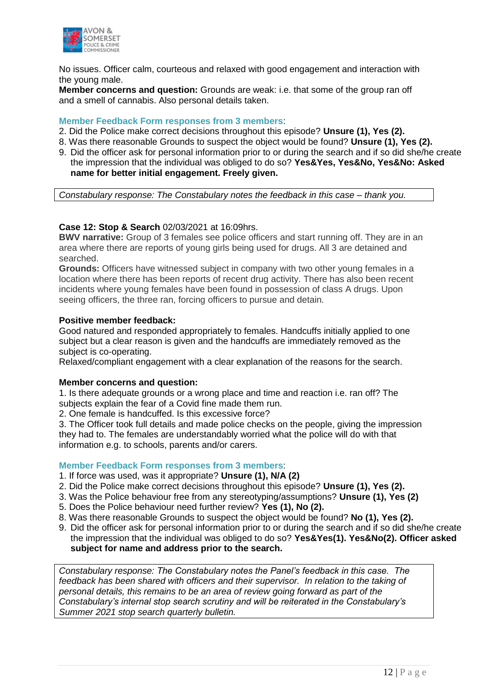

No issues. Officer calm, courteous and relaxed with good engagement and interaction with the young male.

**Member concerns and question:** Grounds are weak: i.e. that some of the group ran off and a smell of cannabis. Also personal details taken.

#### **Member Feedback Form responses from 3 members**:

- 2. Did the Police make correct decisions throughout this episode? **Unsure (1), Yes (2).**
- 8. Was there reasonable Grounds to suspect the object would be found? **Unsure (1), Yes (2).**
- 9. Did the officer ask for personal information prior to or during the search and if so did she/he create the impression that the individual was obliged to do so? **Yes&Yes, Yes&No, Yes&No: Asked name for better initial engagement. Freely given.**

*Constabulary response: The Constabulary notes the feedback in this case – thank you.*

#### **Case 12: Stop & Search** 02/03/2021 at 16:09hrs.

**BWV narrative:** Group of 3 females see police officers and start running off. They are in an area where there are reports of young girls being used for drugs. All 3 are detained and searched.

**Grounds:** Officers have witnessed subject in company with two other young females in a location where there has been reports of recent drug activity. There has also been recent incidents where young females have been found in possession of class A drugs. Upon seeing officers, the three ran, forcing officers to pursue and detain.

#### **Positive member feedback:**

Good natured and responded appropriately to females. Handcuffs initially applied to one subject but a clear reason is given and the handcuffs are immediately removed as the subject is co-operating.

Relaxed/compliant engagement with a clear explanation of the reasons for the search.

#### **Member concerns and question:**

1. Is there adequate grounds or a wrong place and time and reaction i.e. ran off? The subjects explain the fear of a Covid fine made them run.

2. One female is handcuffed. Is this excessive force?

3. The Officer took full details and made police checks on the people, giving the impression they had to. The females are understandably worried what the police will do with that information e.g. to schools, parents and/or carers.

#### **Member Feedback Form responses from 3 members**:

- 1. If force was used, was it appropriate? **Unsure (1), N/A (2)**
- 2. Did the Police make correct decisions throughout this episode? **Unsure (1), Yes (2).**
- 3. Was the Police behaviour free from any stereotyping/assumptions? **Unsure (1), Yes (2)**
- 5. Does the Police behaviour need further review? **Yes (1), No (2).**
- 8. Was there reasonable Grounds to suspect the object would be found? **No (1), Yes (2).**
- 9. Did the officer ask for personal information prior to or during the search and if so did she/he create the impression that the individual was obliged to do so? **Yes&Yes(1). Yes&No(2). Officer asked subject for name and address prior to the search.**

*Constabulary response: The Constabulary notes the Panel's feedback in this case. The feedback has been shared with officers and their supervisor. In relation to the taking of personal details, this remains to be an area of review going forward as part of the Constabulary's internal stop search scrutiny and will be reiterated in the Constabulary's Summer 2021 stop search quarterly bulletin.*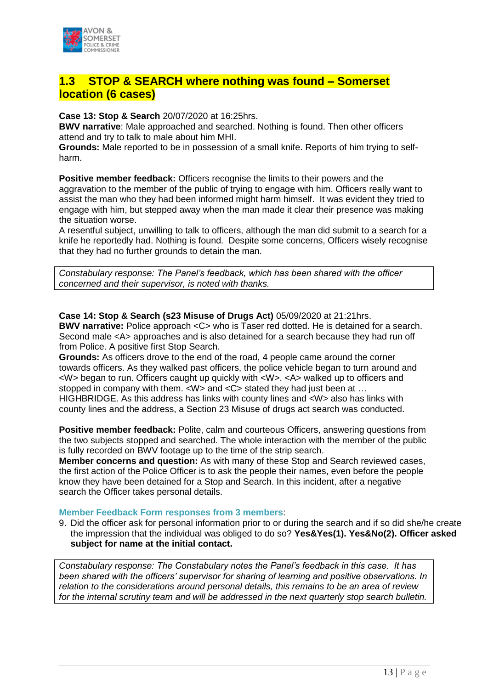

# **1.3 STOP & SEARCH where nothing was found – Somerset location (6 cases)**

**Case 13: Stop & Search** 20/07/2020 at 16:25hrs.

**BWV narrative**: Male approached and searched. Nothing is found. Then other officers attend and try to talk to male about him MHI.

**Grounds:** Male reported to be in possession of a small knife. Reports of him trying to selfharm.

**Positive member feedback:** Officers recognise the limits to their powers and the aggravation to the member of the public of trying to engage with him. Officers really want to assist the man who they had been informed might harm himself. It was evident they tried to engage with him, but stepped away when the man made it clear their presence was making the situation worse.

A resentful subject, unwilling to talk to officers, although the man did submit to a search for a knife he reportedly had. Nothing is found. Despite some concerns, Officers wisely recognise that they had no further grounds to detain the man.

*Constabulary response: The Panel's feedback, which has been shared with the officer concerned and their supervisor, is noted with thanks.*

**Case 14: Stop & Search (s23 Misuse of Drugs Act)** 05/09/2020 at 21:21hrs. **BWV narrative:** Police approach <C> who is Taser red dotted. He is detained for a search. Second male <A> approaches and is also detained for a search because they had run off from Police. A positive first Stop Search.

**Grounds:** As officers drove to the end of the road, 4 people came around the corner towards officers. As they walked past officers, the police vehicle began to turn around and <W> began to run. Officers caught up quickly with <W>. <A> walked up to officers and stopped in company with them. <W> and <C> stated they had just been at ... HIGHBRIDGE. As this address has links with county lines and <W> also has links with county lines and the address, a Section 23 Misuse of drugs act search was conducted.

**Positive member feedback:** Polite, calm and courteous Officers, answering questions from the two subjects stopped and searched. The whole interaction with the member of the public is fully recorded on BWV footage up to the time of the strip search.

**Member concerns and question:** As with many of these Stop and Search reviewed cases, the first action of the Police Officer is to ask the people their names, even before the people know they have been detained for a Stop and Search. In this incident, after a negative search the Officer takes personal details.

#### **Member Feedback Form responses from 3 members**:

9. Did the officer ask for personal information prior to or during the search and if so did she/he create the impression that the individual was obliged to do so? **Yes&Yes(1). Yes&No(2). Officer asked subject for name at the initial contact.**

*Constabulary response: The Constabulary notes the Panel's feedback in this case. It has been shared with the officers' supervisor for sharing of learning and positive observations. In relation to the considerations around personal details, this remains to be an area of review for the internal scrutiny team and will be addressed in the next quarterly stop search bulletin.*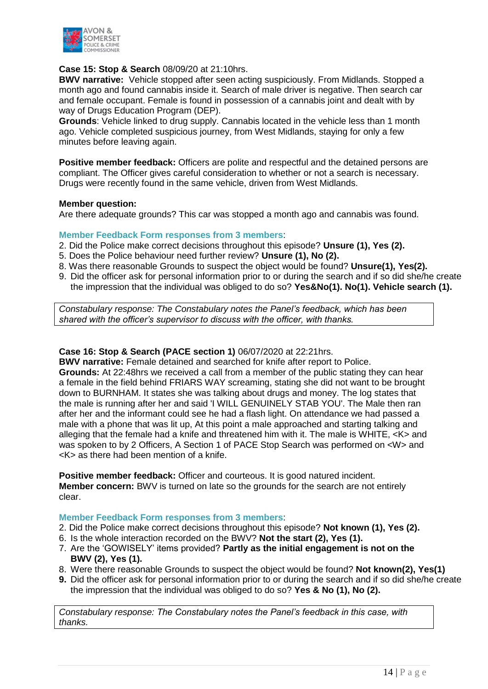

#### **Case 15: Stop & Search** 08/09/20 at 21:10hrs.

**BWV narrative:** Vehicle stopped after seen acting suspiciously. From Midlands. Stopped a month ago and found cannabis inside it. Search of male driver is negative. Then search car and female occupant. Female is found in possession of a cannabis joint and dealt with by way of Drugs Education Program (DEP).

**Grounds**: Vehicle linked to drug supply. Cannabis located in the vehicle less than 1 month ago. Vehicle completed suspicious journey, from West Midlands, staying for only a few minutes before leaving again.

**Positive member feedback:** Officers are polite and respectful and the detained persons are compliant. The Officer gives careful consideration to whether or not a search is necessary. Drugs were recently found in the same vehicle, driven from West Midlands.

#### **Member question:**

Are there adequate grounds? This car was stopped a month ago and cannabis was found.

#### **Member Feedback Form responses from 3 members**:

- 2. Did the Police make correct decisions throughout this episode? **Unsure (1), Yes (2).**
- 5. Does the Police behaviour need further review? **Unsure (1), No (2).**
- 8. Was there reasonable Grounds to suspect the object would be found? **Unsure(1), Yes(2).**
- 9. Did the officer ask for personal information prior to or during the search and if so did she/he create the impression that the individual was obliged to do so? **Yes&No(1). No(1). Vehicle search (1).**

*Constabulary response: The Constabulary notes the Panel's feedback, which has been shared with the officer's supervisor to discuss with the officer, with thanks.*

#### **Case 16: Stop & Search (PACE section 1)** 06/07/2020 at 22:21hrs.

**BWV narrative:** Female detained and searched for knife after report to Police. **Grounds:** At 22:48hrs we received a call from a member of the public stating they can hear a female in the field behind FRIARS WAY screaming, stating she did not want to be brought down to BURNHAM. It states she was talking about drugs and money. The log states that the male is running after her and said 'I WILL GENUINELY STAB YOU'. The Male then ran after her and the informant could see he had a flash light. On attendance we had passed a male with a phone that was lit up, At this point a male approached and starting talking and alleging that the female had a knife and threatened him with it. The male is WHITE, <K> and was spoken to by 2 Officers, A Section 1 of PACE Stop Search was performed on <W> and <K> as there had been mention of a knife.

**Positive member feedback:** Officer and courteous. It is good natured incident. **Member concern:** BWV is turned on late so the grounds for the search are not entirely clear.

#### **Member Feedback Form responses from 3 members**:

- 2. Did the Police make correct decisions throughout this episode? **Not known (1), Yes (2).**
- 6. Is the whole interaction recorded on the BWV? **Not the start (2), Yes (1).**
- 7. Are the 'GOWISELY' items provided? **Partly as the initial engagement is not on the BWV (2), Yes (1).**
- 8. Were there reasonable Grounds to suspect the object would be found? **Not known(2), Yes(1)**
- **9.** Did the officer ask for personal information prior to or during the search and if so did she/he create the impression that the individual was obliged to do so? **Yes & No (1), No (2).**

*Constabulary response: The Constabulary notes the Panel's feedback in this case, with thanks.*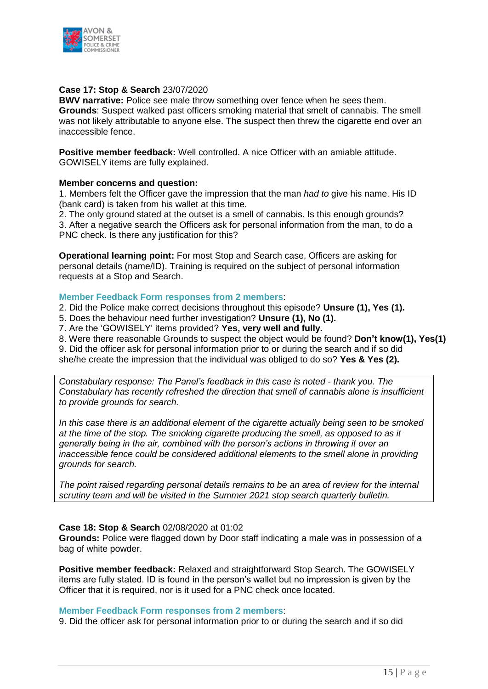

#### **Case 17: Stop & Search** 23/07/2020

**BWV narrative:** Police see male throw something over fence when he sees them. **Grounds**: Suspect walked past officers smoking material that smelt of cannabis. The smell was not likely attributable to anyone else. The suspect then threw the cigarette end over an inaccessible fence.

**Positive member feedback:** Well controlled. A nice Officer with an amiable attitude. GOWISELY items are fully explained.

#### **Member concerns and question:**

1. Members felt the Officer gave the impression that the man *had to* give his name. His ID (bank card) is taken from his wallet at this time.

2. The only ground stated at the outset is a smell of cannabis. Is this enough grounds? 3. After a negative search the Officers ask for personal information from the man, to do a PNC check. Is there any justification for this?

**Operational learning point:** For most Stop and Search case, Officers are asking for personal details (name/ID). Training is required on the subject of personal information requests at a Stop and Search.

#### **Member Feedback Form responses from 2 members**:

2. Did the Police make correct decisions throughout this episode? **Unsure (1), Yes (1).** 

5. Does the behaviour need further investigation? **Unsure (1), No (1).**

7. Are the 'GOWISELY' items provided? **Yes, very well and fully.** 

8. Were there reasonable Grounds to suspect the object would be found? **Don't know(1), Yes(1)** 9. Did the officer ask for personal information prior to or during the search and if so did she/he create the impression that the individual was obliged to do so? **Yes & Yes (2).**

*Constabulary response: The Panel's feedback in this case is noted - thank you. The Constabulary has recently refreshed the direction that smell of cannabis alone is insufficient to provide grounds for search.*

*In this case there is an additional element of the cigarette actually being seen to be smoked at the time of the stop. The smoking cigarette producing the smell, as opposed to as it generally being in the air, combined with the person's actions in throwing it over an inaccessible fence could be considered additional elements to the smell alone in providing grounds for search.*

*The point raised regarding personal details remains to be an area of review for the internal scrutiny team and will be visited in the Summer 2021 stop search quarterly bulletin.*

#### **Case 18: Stop & Search** 02/08/2020 at 01:02

**Grounds:** Police were flagged down by Door staff indicating a male was in possession of a bag of white powder.

**Positive member feedback:** Relaxed and straightforward Stop Search. The GOWISELY items are fully stated. ID is found in the person's wallet but no impression is given by the Officer that it is required, nor is it used for a PNC check once located.

#### **Member Feedback Form responses from 2 members**:

9. Did the officer ask for personal information prior to or during the search and if so did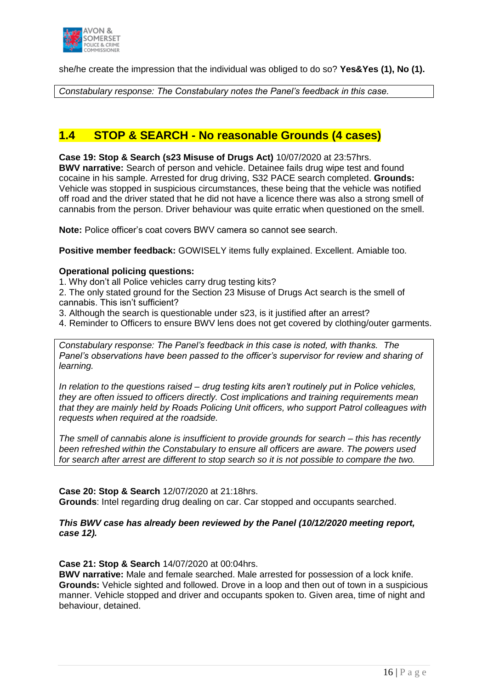

she/he create the impression that the individual was obliged to do so? **Yes&Yes (1), No (1).**

*Constabulary response: The Constabulary notes the Panel's feedback in this case.*

# **1.4 STOP & SEARCH - No reasonable Grounds (4 cases)**

**Case 19: Stop & Search (s23 Misuse of Drugs Act)** 10/07/2020 at 23:57hrs. **BWV narrative:** Search of person and vehicle. Detainee fails drug wipe test and found cocaine in his sample. Arrested for drug driving, S32 PACE search completed. **Grounds:**

Vehicle was stopped in suspicious circumstances, these being that the vehicle was notified off road and the driver stated that he did not have a licence there was also a strong smell of cannabis from the person. Driver behaviour was quite erratic when questioned on the smell.

**Note:** Police officer's coat covers BWV camera so cannot see search.

**Positive member feedback:** GOWISELY items fully explained. Excellent. Amiable too.

#### **Operational policing questions:**

1. Why don't all Police vehicles carry drug testing kits?

2. The only stated ground for the Section 23 Misuse of Drugs Act search is the smell of cannabis. This isn't sufficient?

- 3. Although the search is questionable under s23, is it justified after an arrest?
- 4. Reminder to Officers to ensure BWV lens does not get covered by clothing/outer garments.

*Constabulary response: The Panel's feedback in this case is noted, with thanks. The Panel's observations have been passed to the officer's supervisor for review and sharing of learning.* 

*In relation to the questions raised – drug testing kits aren't routinely put in Police vehicles, they are often issued to officers directly. Cost implications and training requirements mean that they are mainly held by Roads Policing Unit officers, who support Patrol colleagues with requests when required at the roadside.*

*The smell of cannabis alone is insufficient to provide grounds for search – this has recently been refreshed within the Constabulary to ensure all officers are aware. The powers used for search after arrest are different to stop search so it is not possible to compare the two.*

#### **Case 20: Stop & Search** 12/07/2020 at 21:18hrs.

**Grounds**: Intel regarding drug dealing on car. Car stopped and occupants searched.

#### *This BWV case has already been reviewed by the Panel (10/12/2020 meeting report, case 12).*

#### **Case 21: Stop & Search** 14/07/2020 at 00:04hrs.

**BWV narrative:** Male and female searched. Male arrested for possession of a lock knife. **Grounds:** Vehicle sighted and followed. Drove in a loop and then out of town in a suspicious manner. Vehicle stopped and driver and occupants spoken to. Given area, time of night and behaviour, detained.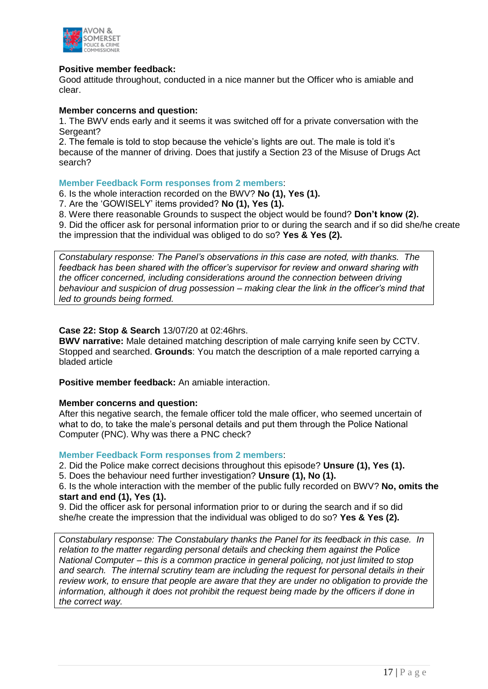

#### **Positive member feedback:**

Good attitude throughout, conducted in a nice manner but the Officer who is amiable and clear.

#### **Member concerns and question:**

1. The BWV ends early and it seems it was switched off for a private conversation with the Sergeant?

2. The female is told to stop because the vehicle's lights are out. The male is told it's because of the manner of driving. Does that justify a Section 23 of the Misuse of Drugs Act search?

#### **Member Feedback Form responses from 2 members**:

6. Is the whole interaction recorded on the BWV? **No (1), Yes (1).**

7. Are the 'GOWISELY' items provided? **No (1), Yes (1).** 

8. Were there reasonable Grounds to suspect the object would be found? **Don't know (2).**

9. Did the officer ask for personal information prior to or during the search and if so did she/he create the impression that the individual was obliged to do so? **Yes & Yes (2).**

*Constabulary response: The Panel's observations in this case are noted, with thanks. The feedback has been shared with the officer's supervisor for review and onward sharing with the officer concerned, including considerations around the connection between driving behaviour and suspicion of drug possession – making clear the link in the officer's mind that led to grounds being formed.*

#### **Case 22: Stop & Search** 13/07/20 at 02:46hrs.

**BWV narrative:** Male detained matching description of male carrying knife seen by CCTV. Stopped and searched. **Grounds**: You match the description of a male reported carrying a bladed article

**Positive member feedback:** An amiable interaction.

#### **Member concerns and question:**

After this negative search, the female officer told the male officer, who seemed uncertain of what to do, to take the male's personal details and put them through the Police National Computer (PNC). Why was there a PNC check?

#### **Member Feedback Form responses from 2 members**:

2. Did the Police make correct decisions throughout this episode? **Unsure (1), Yes (1).** 

5. Does the behaviour need further investigation? **Unsure (1), No (1).**

6. Is the whole interaction with the member of the public fully recorded on BWV? **No, omits the start and end (1), Yes (1).**

9. Did the officer ask for personal information prior to or during the search and if so did she/he create the impression that the individual was obliged to do so? **Yes & Yes (2).**

*Constabulary response: The Constabulary thanks the Panel for its feedback in this case. In relation to the matter regarding personal details and checking them against the Police National Computer – this is a common practice in general policing, not just limited to stop and search. The internal scrutiny team are including the request for personal details in their review work, to ensure that people are aware that they are under no obligation to provide the information, although it does not prohibit the request being made by the officers if done in the correct way.*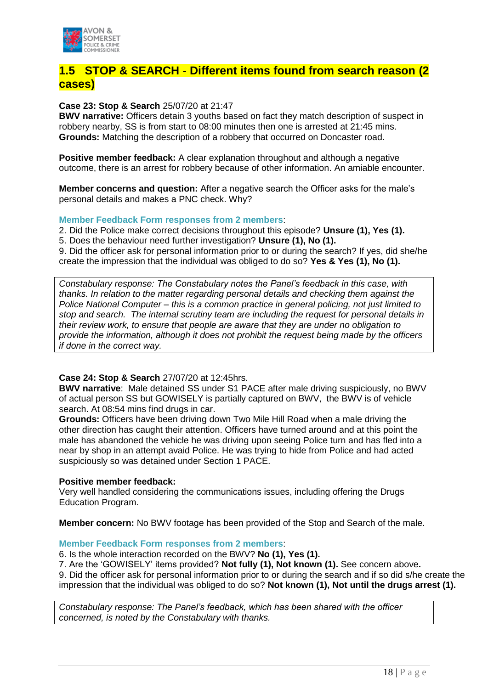

# **1.5 STOP & SEARCH - Different items found from search reason (2 cases)**

**Case 23: Stop & Search** 25/07/20 at 21:47

**BWV narrative:** Officers detain 3 youths based on fact they match description of suspect in robbery nearby, SS is from start to 08:00 minutes then one is arrested at 21:45 mins. **Grounds:** Matching the description of a robbery that occurred on Doncaster road.

**Positive member feedback:** A clear explanation throughout and although a negative outcome, there is an arrest for robbery because of other information. An amiable encounter.

**Member concerns and question:** After a negative search the Officer asks for the male's personal details and makes a PNC check. Why?

**Member Feedback Form responses from 2 members**:

2. Did the Police make correct decisions throughout this episode? **Unsure (1), Yes (1).** 

5. Does the behaviour need further investigation? **Unsure (1), No (1).**

9. Did the officer ask for personal information prior to or during the search? If yes, did she/he create the impression that the individual was obliged to do so? **Yes & Yes (1), No (1).**

*Constabulary response: The Constabulary notes the Panel's feedback in this case, with thanks. In relation to the matter regarding personal details and checking them against the Police National Computer – this is a common practice in general policing, not just limited to stop and search. The internal scrutiny team are including the request for personal details in their review work, to ensure that people are aware that they are under no obligation to provide the information, although it does not prohibit the request being made by the officers if done in the correct way.*

#### **Case 24: Stop & Search** 27/07/20 at 12:45hrs.

**BWV narrative**: Male detained SS under S1 PACE after male driving suspiciously, no BWV of actual person SS but GOWISELY is partially captured on BWV, the BWV is of vehicle search. At 08:54 mins find drugs in car.

**Grounds:** Officers have been driving down Two Mile Hill Road when a male driving the other direction has caught their attention. Officers have turned around and at this point the male has abandoned the vehicle he was driving upon seeing Police turn and has fled into a near by shop in an attempt avaid Police. He was trying to hide from Police and had acted suspiciously so was detained under Section 1 PACE.

#### **Positive member feedback:**

Very well handled considering the communications issues, including offering the Drugs Education Program.

**Member concern:** No BWV footage has been provided of the Stop and Search of the male.

#### **Member Feedback Form responses from 2 members**:

6. Is the whole interaction recorded on the BWV? **No (1), Yes (1).**

7. Are the 'GOWISELY' items provided? **Not fully (1), Not known (1).** See concern above**.** 9. Did the officer ask for personal information prior to or during the search and if so did s/he create the impression that the individual was obliged to do so? **Not known (1), Not until the drugs arrest (1).**

*Constabulary response: The Panel's feedback, which has been shared with the officer concerned, is noted by the Constabulary with thanks.*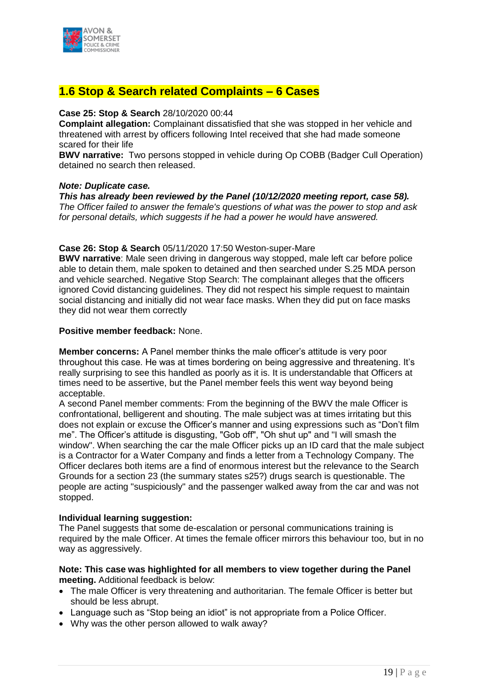

# **1.6 Stop & Search related Complaints – 6 Cases**

#### **Case 25: Stop & Search** 28/10/2020 00:44

**Complaint allegation:** Complainant dissatisfied that she was stopped in her vehicle and threatened with arrest by officers following Intel received that she had made someone scared for their life

**BWV narrative:** Two persons stopped in vehicle during Op COBB (Badger Cull Operation) detained no search then released.

#### *Note: Duplicate case.*

*This has already been reviewed by the Panel (10/12/2020 meeting report, case 58). The Officer failed to answer the female's questions of what was the power to stop and ask for personal details, which suggests if he had a power he would have answered.*

#### **Case 26: Stop & Search** 05/11/2020 17:50 Weston-super-Mare

**BWV narrative**: Male seen driving in dangerous way stopped, male left car before police able to detain them, male spoken to detained and then searched under S.25 MDA person and vehicle searched. Negative Stop Search: The complainant alleges that the officers ignored Covid distancing guidelines. They did not respect his simple request to maintain social distancing and initially did not wear face masks. When they did put on face masks they did not wear them correctly

#### **Positive member feedback:** None.

**Member concerns:** A Panel member thinks the male officer's attitude is very poor throughout this case. He was at times bordering on being aggressive and threatening. It's really surprising to see this handled as poorly as it is. It is understandable that Officers at times need to be assertive, but the Panel member feels this went way beyond being acceptable.

A second Panel member comments: From the beginning of the BWV the male Officer is confrontational, belligerent and shouting. The male subject was at times irritating but this does not explain or excuse the Officer's manner and using expressions such as "Don't film me". The Officer's attitude is disgusting, "Gob off", "Oh shut up" and "I will smash the window". When searching the car the male Officer picks up an ID card that the male subject is a Contractor for a Water Company and finds a letter from a Technology Company. The Officer declares both items are a find of enormous interest but the relevance to the Search Grounds for a section 23 (the summary states s25?) drugs search is questionable. The people are acting "suspiciously" and the passenger walked away from the car and was not stopped.

#### **Individual learning suggestion:**

The Panel suggests that some de-escalation or personal communications training is required by the male Officer. At times the female officer mirrors this behaviour too, but in no way as aggressively.

#### **Note: This case was highlighted for all members to view together during the Panel meeting.** Additional feedback is below:

- The male Officer is very threatening and authoritarian. The female Officer is better but should be less abrupt.
- Language such as "Stop being an idiot" is not appropriate from a Police Officer.
- Why was the other person allowed to walk away?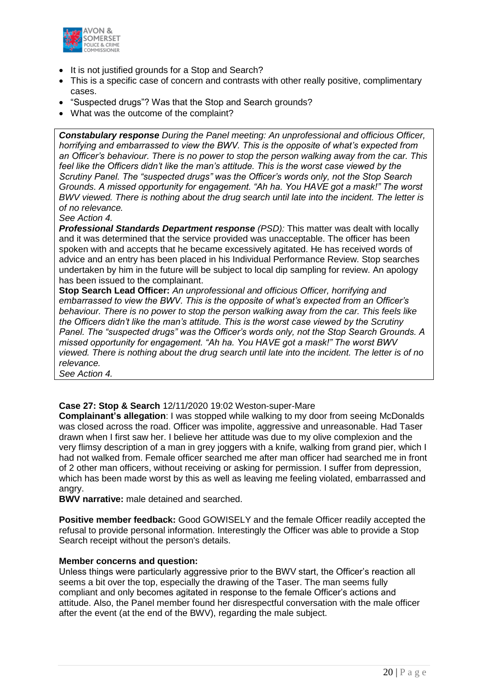

- It is not justified grounds for a Stop and Search?
- This is a specific case of concern and contrasts with other really positive, complimentary cases.
- "Suspected drugs"? Was that the Stop and Search grounds?
- What was the outcome of the complaint?

*Constabulary response During the Panel meeting: An unprofessional and officious Officer, horrifying and embarrassed to view the BWV. This is the opposite of what's expected from an Officer's behaviour. There is no power to stop the person walking away from the car. This feel like the Officers didn't like the man's attitude. This is the worst case viewed by the Scrutiny Panel. The "suspected drugs" was the Officer's words only, not the Stop Search Grounds. A missed opportunity for engagement. "Ah ha. You HAVE got a mask!" The worst BWV viewed. There is nothing about the drug search until late into the incident. The letter is of no relevance.* 

*See Action 4.* 

**Professional Standards Department response** *(PSD):* This matter was dealt with locally and it was determined that the service provided was unacceptable. The officer has been spoken with and accepts that he became excessively agitated. He has received words of advice and an entry has been placed in his Individual Performance Review. Stop searches undertaken by him in the future will be subject to local dip sampling for review. An apology has been issued to the complainant.

**Stop Search Lead Officer:** *An unprofessional and officious Officer, horrifying and embarrassed to view the BWV. This is the opposite of what's expected from an Officer's behaviour. There is no power to stop the person walking away from the car. This feels like the Officers didn't like the man's attitude. This is the worst case viewed by the Scrutiny Panel. The "suspected drugs" was the Officer's words only, not the Stop Search Grounds. A missed opportunity for engagement. "Ah ha. You HAVE got a mask!" The worst BWV viewed. There is nothing about the drug search until late into the incident. The letter is of no relevance.* 

*See Action 4.* 

#### **Case 27: Stop & Search** 12/11/2020 19:02 Weston-super-Mare

**Complainant's allegation**: I was stopped while walking to my door from seeing McDonalds was closed across the road. Officer was impolite, aggressive and unreasonable. Had Taser drawn when I first saw her. I believe her attitude was due to my olive complexion and the very flimsy description of a man in grey joggers with a knife, walking from grand pier, which I had not walked from. Female officer searched me after man officer had searched me in front of 2 other man officers, without receiving or asking for permission. I suffer from depression, which has been made worst by this as well as leaving me feeling violated, embarrassed and angry.

**BWV narrative:** male detained and searched.

**Positive member feedback:** Good GOWISELY and the female Officer readily accepted the refusal to provide personal information. Interestingly the Officer was able to provide a Stop Search receipt without the person's details.

#### **Member concerns and question:**

Unless things were particularly aggressive prior to the BWV start, the Officer's reaction all seems a bit over the top, especially the drawing of the Taser. The man seems fully compliant and only becomes agitated in response to the female Officer's actions and attitude. Also, the Panel member found her disrespectful conversation with the male officer after the event (at the end of the BWV), regarding the male subject.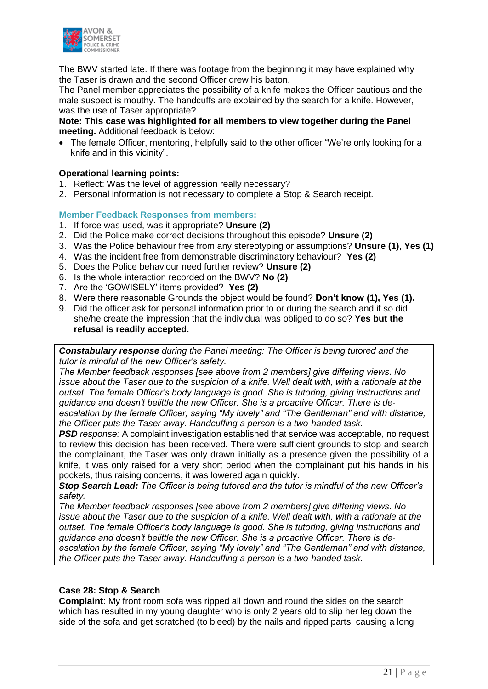

The BWV started late. If there was footage from the beginning it may have explained why the Taser is drawn and the second Officer drew his baton.

The Panel member appreciates the possibility of a knife makes the Officer cautious and the male suspect is mouthy. The handcuffs are explained by the search for a knife. However, was the use of Taser appropriate?

#### **Note: This case was highlighted for all members to view together during the Panel meeting.** Additional feedback is below:

• The female Officer, mentoring, helpfully said to the other officer "We're only looking for a knife and in this vicinity".

#### **Operational learning points:**

- 1. Reflect: Was the level of aggression really necessary?
- 2. Personal information is not necessary to complete a Stop & Search receipt.

#### **Member Feedback Responses from members:**

- 1. If force was used, was it appropriate? **Unsure (2)**
- 2. Did the Police make correct decisions throughout this episode? **Unsure (2)**
- 3. Was the Police behaviour free from any stereotyping or assumptions? **Unsure (1), Yes (1)**
- 4. Was the incident free from demonstrable discriminatory behaviour? **Yes (2)**
- 5. Does the Police behaviour need further review? **Unsure (2)**
- 6. Is the whole interaction recorded on the BWV? **No (2)**
- 7. Are the 'GOWISELY' items provided? **Yes (2)**
- 8. Were there reasonable Grounds the object would be found? **Don't know (1), Yes (1).**
- 9. Did the officer ask for personal information prior to or during the search and if so did she/he create the impression that the individual was obliged to do so? **Yes but the refusal is readily accepted.**

*Constabulary response during the Panel meeting: The Officer is being tutored and the tutor is mindful of the new Officer's safety.* 

*The Member feedback responses [see above from 2 members] give differing views. No issue about the Taser due to the suspicion of a knife. Well dealt with, with a rationale at the outset. The female Officer's body language is good. She is tutoring, giving instructions and guidance and doesn't belittle the new Officer. She is a proactive Officer. There is deescalation by the female Officer, saying "My lovely" and "The Gentleman" and with distance, the Officer puts the Taser away. Handcuffing a person is a two-handed task.* 

*PSD response:* A complaint investigation established that service was acceptable, no request to review this decision has been received. There were sufficient grounds to stop and search the complainant, the Taser was only drawn initially as a presence given the possibility of a knife, it was only raised for a very short period when the complainant put his hands in his pockets, thus raising concerns, it was lowered again quickly.

*Stop Search Lead: The Officer is being tutored and the tutor is mindful of the new Officer's safety.* 

*The Member feedback responses [see above from 2 members] give differing views. No issue about the Taser due to the suspicion of a knife. Well dealt with, with a rationale at the outset. The female Officer's body language is good. She is tutoring, giving instructions and guidance and doesn't belittle the new Officer. She is a proactive Officer. There is deescalation by the female Officer, saying "My lovely" and "The Gentleman" and with distance, the Officer puts the Taser away. Handcuffing a person is a two-handed task.* 

#### **Case 28: Stop & Search**

**Complaint**: My front room sofa was ripped all down and round the sides on the search which has resulted in my young daughter who is only 2 years old to slip her leg down the side of the sofa and get scratched (to bleed) by the nails and ripped parts, causing a long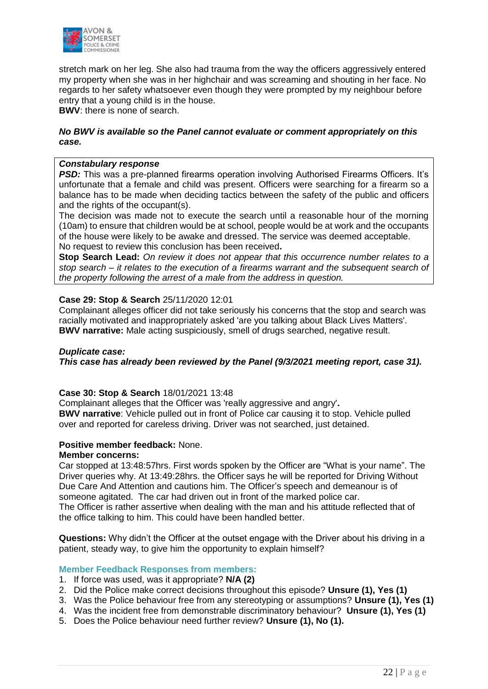

stretch mark on her leg. She also had trauma from the way the officers aggressively entered my property when she was in her highchair and was screaming and shouting in her face. No regards to her safety whatsoever even though they were prompted by my neighbour before entry that a young child is in the house.

**BWV**: there is none of search.

#### *No BWV is available so the Panel cannot evaluate or comment appropriately on this case.*

#### *Constabulary response*

**PSD:** This was a pre-planned firearms operation involving Authorised Firearms Officers. It's unfortunate that a female and child was present. Officers were searching for a firearm so a balance has to be made when deciding tactics between the safety of the public and officers and the rights of the occupant(s).

The decision was made not to execute the search until a reasonable hour of the morning (10am) to ensure that children would be at school, people would be at work and the occupants of the house were likely to be awake and dressed. The service was deemed acceptable. No request to review this conclusion has been received**.**

**Stop Search Lead:** *On review it does not appear that this occurrence number relates to a stop search – it relates to the execution of a firearms warrant and the subsequent search of the property following the arrest of a male from the address in question.*

#### **Case 29: Stop & Search** 25/11/2020 12:01

Complainant alleges officer did not take seriously his concerns that the stop and search was racially motivated and inappropriately asked 'are you talking about Black Lives Matters'. **BWV narrative:** Male acting suspiciously, smell of drugs searched, negative result.

#### *Duplicate case:*

*This case has already been reviewed by the Panel (9/3/2021 meeting report, case 31).* 

#### **Case 30: Stop & Search** 18/01/2021 13:48

Complainant alleges that the Officer was 'really aggressive and angry'**. BWV narrative**: Vehicle pulled out in front of Police car causing it to stop. Vehicle pulled over and reported for careless driving. Driver was not searched, just detained.

#### **Positive member feedback:** None.

#### **Member concerns:**

Car stopped at 13:48:57hrs. First words spoken by the Officer are "What is your name". The Driver queries why. At 13:49:28hrs. the Officer says he will be reported for Driving Without Due Care And Attention and cautions him. The Officer's speech and demeanour is of someone agitated. The car had driven out in front of the marked police car. The Officer is rather assertive when dealing with the man and his attitude reflected that of the office talking to him. This could have been handled better.

**Questions:** Why didn't the Officer at the outset engage with the Driver about his driving in a patient, steady way, to give him the opportunity to explain himself?

#### **Member Feedback Responses from members:**

- 1. If force was used, was it appropriate? **N/A (2)**
- 2. Did the Police make correct decisions throughout this episode? **Unsure (1), Yes (1)**
- 3. Was the Police behaviour free from any stereotyping or assumptions? **Unsure (1), Yes (1)**
- 4. Was the incident free from demonstrable discriminatory behaviour? **Unsure (1), Yes (1)**
- 5. Does the Police behaviour need further review? **Unsure (1), No (1).**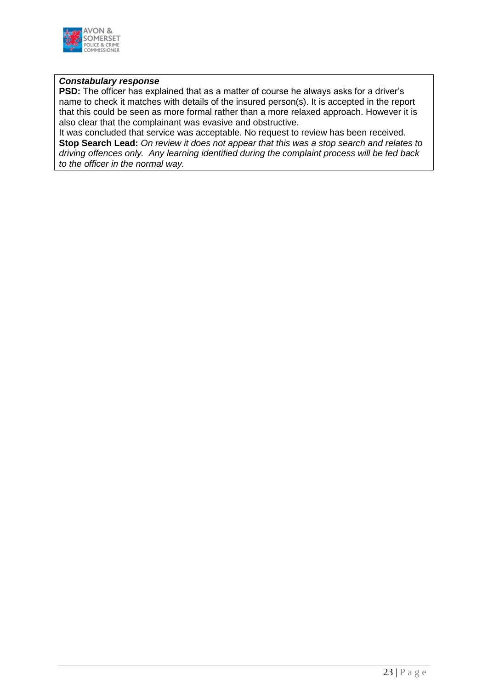

#### *Constabulary response*

**PSD:** The officer has explained that as a matter of course he always asks for a driver's name to check it matches with details of the insured person(s). It is accepted in the report that this could be seen as more formal rather than a more relaxed approach. However it is also clear that the complainant was evasive and obstructive.

It was concluded that service was acceptable. No request to review has been received. **Stop Search Lead:** *On review it does not appear that this was a stop search and relates to driving offences only. Any learning identified during the complaint process will be fed back to the officer in the normal way.*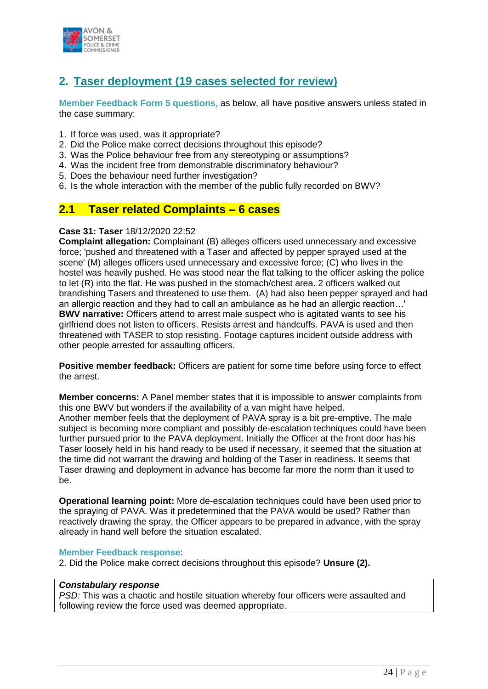

# **2. Taser deployment (19 cases selected for review)**

**Member Feedback Form 5 questions,** as below, all have positive answers unless stated in the case summary:

- 1. If force was used, was it appropriate?
- 2. Did the Police make correct decisions throughout this episode?
- 3. Was the Police behaviour free from any stereotyping or assumptions?
- 4. Was the incident free from demonstrable discriminatory behaviour?
- 5. Does the behaviour need further investigation?
- 6. Is the whole interaction with the member of the public fully recorded on BWV?

### **2.1 Taser related Complaints – 6 cases**

#### **Case 31: Taser** 18/12/2020 22:52

**Complaint allegation:** Complainant (B) alleges officers used unnecessary and excessive force; 'pushed and threatened with a Taser and affected by pepper sprayed used at the scene' (M) alleges officers used unnecessary and excessive force; (C) who lives in the hostel was heavily pushed. He was stood near the flat talking to the officer asking the police to let (R) into the flat. He was pushed in the stomach/chest area. 2 officers walked out brandishing Tasers and threatened to use them. (A) had also been pepper sprayed and had an allergic reaction and they had to call an ambulance as he had an allergic reaction…' **BWV narrative:** Officers attend to arrest male suspect who is agitated wants to see his girlfriend does not listen to officers. Resists arrest and handcuffs. PAVA is used and then threatened with TASER to stop resisting. Footage captures incident outside address with other people arrested for assaulting officers.

Positive member feedback: Officers are patient for some time before using force to effect the arrest.

**Member concerns:** A Panel member states that it is impossible to answer complaints from this one BWV but wonders if the availability of a van might have helped. Another member feels that the deployment of PAVA spray is a bit pre-emptive. The male subject is becoming more compliant and possibly de-escalation techniques could have been further pursued prior to the PAVA deployment. Initially the Officer at the front door has his Taser loosely held in his hand ready to be used if necessary, it seemed that the situation at the time did not warrant the drawing and holding of the Taser in readiness. It seems that Taser drawing and deployment in advance has become far more the norm than it used to be.

**Operational learning point:** More de-escalation techniques could have been used prior to the spraying of PAVA. Was it predetermined that the PAVA would be used? Rather than reactively drawing the spray, the Officer appears to be prepared in advance, with the spray already in hand well before the situation escalated.

#### **Member Feedback response**:

2. Did the Police make correct decisions throughout this episode? **Unsure (2).**

#### *Constabulary response*

*PSD:* This was a chaotic and hostile situation whereby four officers were assaulted and following review the force used was deemed appropriate.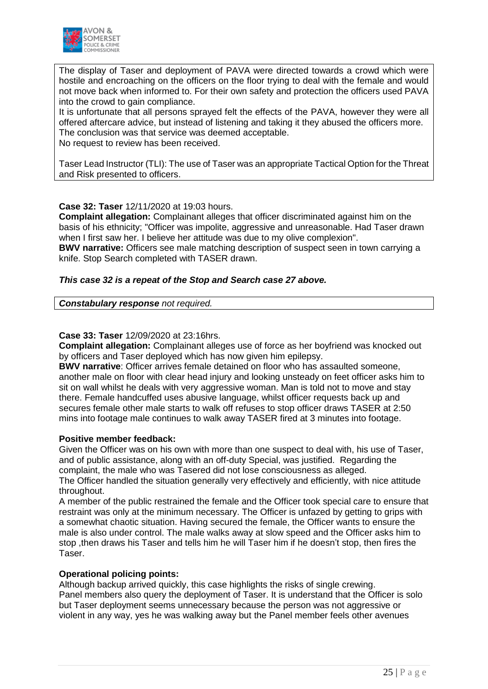

The display of Taser and deployment of PAVA were directed towards a crowd which were hostile and encroaching on the officers on the floor trying to deal with the female and would not move back when informed to. For their own safety and protection the officers used PAVA into the crowd to gain compliance.

It is unfortunate that all persons sprayed felt the effects of the PAVA, however they were all offered aftercare advice, but instead of listening and taking it they abused the officers more. The conclusion was that service was deemed acceptable.

No request to review has been received.

Taser Lead Instructor (TLI): The use of Taser was an appropriate Tactical Option for the Threat and Risk presented to officers.

#### **Case 32: Taser** 12/11/2020 at 19:03 hours.

**Complaint allegation:** Complainant alleges that officer discriminated against him on the basis of his ethnicity; "Officer was impolite, aggressive and unreasonable. Had Taser drawn when I first saw her. I believe her attitude was due to my olive complexion".

**BWV narrative:** Officers see male matching description of suspect seen in town carrying a knife. Stop Search completed with TASER drawn.

#### *This case 32 is a repeat of the Stop and Search case 27 above.*

*Constabulary response not required.*

#### **Case 33: Taser** 12/09/2020 at 23:16hrs.

**Complaint allegation:** Complainant alleges use of force as her boyfriend was knocked out by officers and Taser deployed which has now given him epilepsy.

**BWV narrative**: Officer arrives female detained on floor who has assaulted someone, another male on floor with clear head injury and looking unsteady on feet officer asks him to sit on wall whilst he deals with very aggressive woman. Man is told not to move and stay there. Female handcuffed uses abusive language, whilst officer requests back up and secures female other male starts to walk off refuses to stop officer draws TASER at 2:50 mins into footage male continues to walk away TASER fired at 3 minutes into footage.

#### **Positive member feedback:**

Given the Officer was on his own with more than one suspect to deal with, his use of Taser, and of public assistance, along with an off-duty Special, was justified. Regarding the complaint, the male who was Tasered did not lose consciousness as alleged. The Officer handled the situation generally very effectively and efficiently, with nice attitude throughout.

A member of the public restrained the female and the Officer took special care to ensure that restraint was only at the minimum necessary. The Officer is unfazed by getting to grips with a somewhat chaotic situation. Having secured the female, the Officer wants to ensure the male is also under control. The male walks away at slow speed and the Officer asks him to stop ,then draws his Taser and tells him he will Taser him if he doesn't stop, then fires the Taser.

#### **Operational policing points:**

Although backup arrived quickly, this case highlights the risks of single crewing. Panel members also query the deployment of Taser. It is understand that the Officer is solo but Taser deployment seems unnecessary because the person was not aggressive or violent in any way, yes he was walking away but the Panel member feels other avenues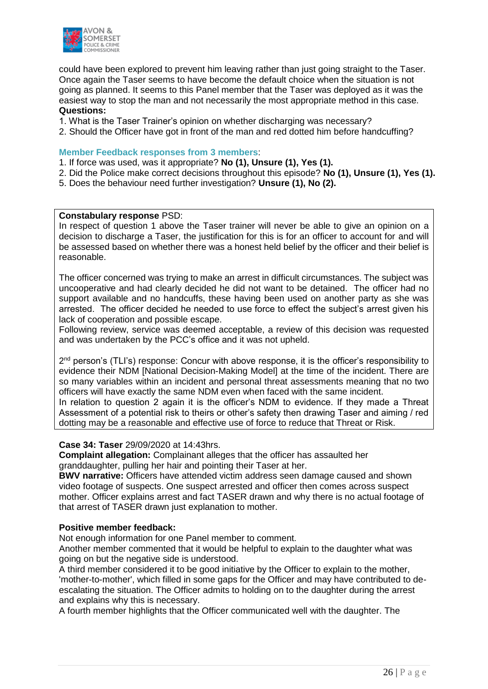

could have been explored to prevent him leaving rather than just going straight to the Taser. Once again the Taser seems to have become the default choice when the situation is not going as planned. It seems to this Panel member that the Taser was deployed as it was the easiest way to stop the man and not necessarily the most appropriate method in this case. **Questions:**

- 1. What is the Taser Trainer's opinion on whether discharging was necessary?
- 2. Should the Officer have got in front of the man and red dotted him before handcuffing?

#### **Member Feedback responses from 3 members**:

- 1. If force was used, was it appropriate? **No (1), Unsure (1), Yes (1).**
- 2. Did the Police make correct decisions throughout this episode? **No (1), Unsure (1), Yes (1).**
- 5. Does the behaviour need further investigation? **Unsure (1), No (2).**

#### **Constabulary response** PSD:

In respect of question 1 above the Taser trainer will never be able to give an opinion on a decision to discharge a Taser, the justification for this is for an officer to account for and will be assessed based on whether there was a honest held belief by the officer and their belief is reasonable.

The officer concerned was trying to make an arrest in difficult circumstances. The subject was uncooperative and had clearly decided he did not want to be detained. The officer had no support available and no handcuffs, these having been used on another party as she was arrested. The officer decided he needed to use force to effect the subject's arrest given his lack of cooperation and possible escape.

Following review, service was deemed acceptable, a review of this decision was requested and was undertaken by the PCC's office and it was not upheld.

2<sup>nd</sup> person's (TLI's) response: Concur with above response, it is the officer's responsibility to evidence their NDM [National Decision-Making Model] at the time of the incident. There are so many variables within an incident and personal threat assessments meaning that no two officers will have exactly the same NDM even when faced with the same incident.

In relation to question 2 again it is the officer's NDM to evidence. If they made a Threat Assessment of a potential risk to theirs or other's safety then drawing Taser and aiming / red dotting may be a reasonable and effective use of force to reduce that Threat or Risk.

#### **Case 34: Taser** 29/09/2020 at 14:43hrs.

**Complaint allegation:** Complainant alleges that the officer has assaulted her granddaughter, pulling her hair and pointing their Taser at her.

**BWV narrative:** Officers have attended victim address seen damage caused and shown video footage of suspects. One suspect arrested and officer then comes across suspect mother. Officer explains arrest and fact TASER drawn and why there is no actual footage of that arrest of TASER drawn just explanation to mother.

#### **Positive member feedback:**

Not enough information for one Panel member to comment.

Another member commented that it would be helpful to explain to the daughter what was going on but the negative side is understood.

A third member considered it to be good initiative by the Officer to explain to the mother, 'mother-to-mother', which filled in some gaps for the Officer and may have contributed to deescalating the situation. The Officer admits to holding on to the daughter during the arrest and explains why this is necessary.

A fourth member highlights that the Officer communicated well with the daughter. The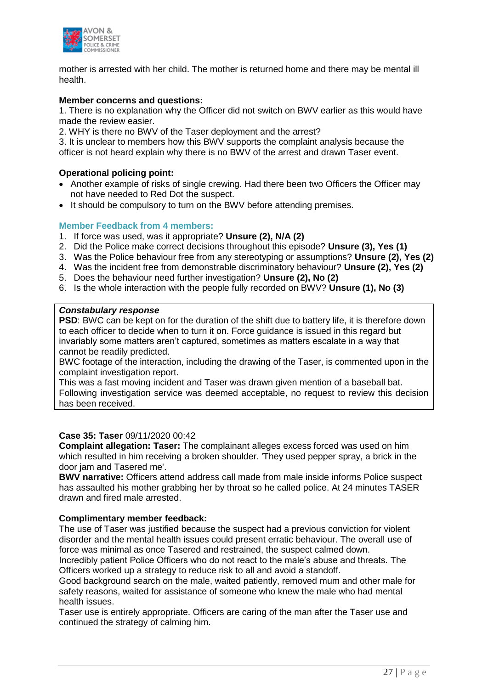

mother is arrested with her child. The mother is returned home and there may be mental ill health.

#### **Member concerns and questions:**

1. There is no explanation why the Officer did not switch on BWV earlier as this would have made the review easier.

2. WHY is there no BWV of the Taser deployment and the arrest?

3. It is unclear to members how this BWV supports the complaint analysis because the officer is not heard explain why there is no BWV of the arrest and drawn Taser event.

#### **Operational policing point:**

- Another example of risks of single crewing. Had there been two Officers the Officer may not have needed to Red Dot the suspect.
- It should be compulsory to turn on the BWV before attending premises.

#### **Member Feedback from 4 members:**

- 1. If force was used, was it appropriate? **Unsure (2), N/A (2)**
- 2. Did the Police make correct decisions throughout this episode? **Unsure (3), Yes (1)**
- 3. Was the Police behaviour free from any stereotyping or assumptions? **Unsure (2), Yes (2)**
- 4. Was the incident free from demonstrable discriminatory behaviour? **Unsure (2), Yes (2)**
- 5. Does the behaviour need further investigation? **Unsure (2), No (2)**
- 6. Is the whole interaction with the people fully recorded on BWV? **Unsure (1), No (3)**

#### *Constabulary response*

**PSD**: BWC can be kept on for the duration of the shift due to battery life, it is therefore down to each officer to decide when to turn it on. Force guidance is issued in this regard but invariably some matters aren't captured, sometimes as matters escalate in a way that cannot be readily predicted.

BWC footage of the interaction, including the drawing of the Taser, is commented upon in the complaint investigation report.

This was a fast moving incident and Taser was drawn given mention of a baseball bat. Following investigation service was deemed acceptable, no request to review this decision has been received.

#### **Case 35: Taser** 09/11/2020 00:42

**Complaint allegation: Taser:** The complainant alleges excess forced was used on him which resulted in him receiving a broken shoulder. 'They used pepper spray, a brick in the door jam and Tasered me'.

**BWV narrative:** Officers attend address call made from male inside informs Police suspect has assaulted his mother grabbing her by throat so he called police. At 24 minutes TASER drawn and fired male arrested.

#### **Complimentary member feedback:**

The use of Taser was justified because the suspect had a previous conviction for violent disorder and the mental health issues could present erratic behaviour. The overall use of force was minimal as once Tasered and restrained, the suspect calmed down.

Incredibly patient Police Officers who do not react to the male's abuse and threats. The Officers worked up a strategy to reduce risk to all and avoid a standoff.

Good background search on the male, waited patiently, removed mum and other male for safety reasons, waited for assistance of someone who knew the male who had mental health issues.

Taser use is entirely appropriate. Officers are caring of the man after the Taser use and continued the strategy of calming him.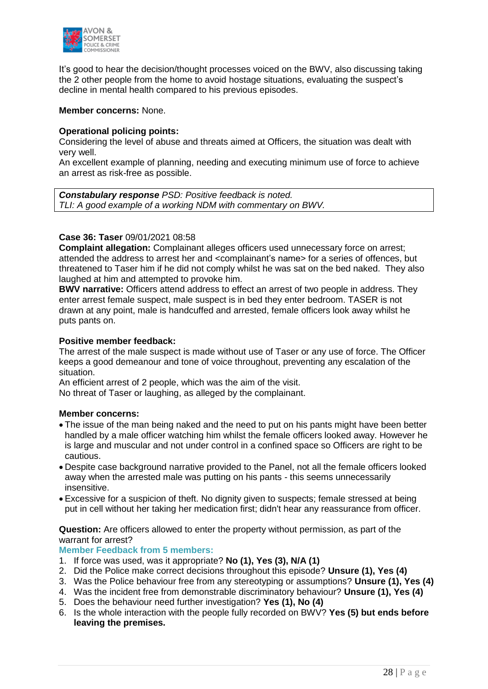

It's good to hear the decision/thought processes voiced on the BWV, also discussing taking the 2 other people from the home to avoid hostage situations, evaluating the suspect's decline in mental health compared to his previous episodes.

#### **Member concerns:** None.

#### **Operational policing points:**

Considering the level of abuse and threats aimed at Officers, the situation was dealt with very well.

An excellent example of planning, needing and executing minimum use of force to achieve an arrest as risk-free as possible.

*Constabulary response PSD: Positive feedback is noted. TLI: A good example of a working NDM with commentary on BWV.*

#### **Case 36: Taser** 09/01/2021 08:58

**Complaint allegation:** Complainant alleges officers used unnecessary force on arrest; attended the address to arrest her and <complainant's name> for a series of offences, but threatened to Taser him if he did not comply whilst he was sat on the bed naked. They also laughed at him and attempted to provoke him.

**BWV narrative:** Officers attend address to effect an arrest of two people in address. They enter arrest female suspect, male suspect is in bed they enter bedroom. TASER is not drawn at any point, male is handcuffed and arrested, female officers look away whilst he puts pants on.

#### **Positive member feedback:**

The arrest of the male suspect is made without use of Taser or any use of force. The Officer keeps a good demeanour and tone of voice throughout, preventing any escalation of the situation.

An efficient arrest of 2 people, which was the aim of the visit.

No threat of Taser or laughing, as alleged by the complainant.

#### **Member concerns:**

- The issue of the man being naked and the need to put on his pants might have been better handled by a male officer watching him whilst the female officers looked away. However he is large and muscular and not under control in a confined space so Officers are right to be cautious.
- Despite case background narrative provided to the Panel, not all the female officers looked away when the arrested male was putting on his pants - this seems unnecessarily insensitive.
- Excessive for a suspicion of theft. No dignity given to suspects; female stressed at being put in cell without her taking her medication first; didn't hear any reassurance from officer.

**Question:** Are officers allowed to enter the property without permission, as part of the warrant for arrest?

#### **Member Feedback from 5 members:**

- 1. If force was used, was it appropriate? **No (1), Yes (3), N/A (1)**
- 2. Did the Police make correct decisions throughout this episode? **Unsure (1), Yes (4)**
- 3. Was the Police behaviour free from any stereotyping or assumptions? **Unsure (1), Yes (4)**
- 4. Was the incident free from demonstrable discriminatory behaviour? **Unsure (1), Yes (4)**
- 5. Does the behaviour need further investigation? **Yes (1), No (4)**
- 6. Is the whole interaction with the people fully recorded on BWV? **Yes (5) but ends before leaving the premises.**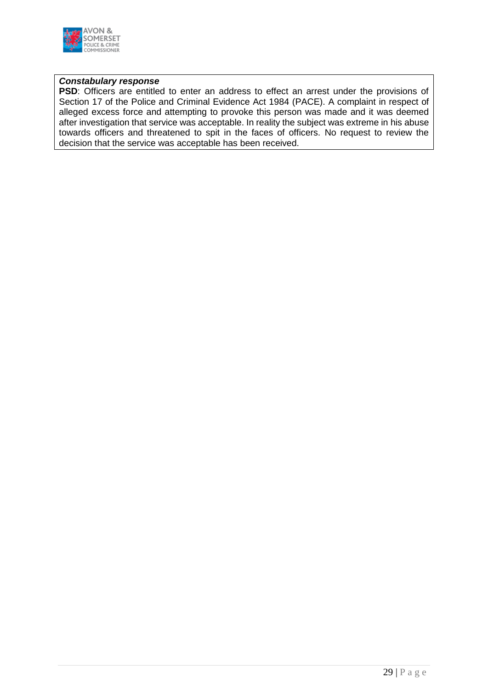

#### *Constabulary response*

**PSD**: Officers are entitled to enter an address to effect an arrest under the provisions of Section 17 of the Police and Criminal Evidence Act 1984 (PACE). A complaint in respect of alleged excess force and attempting to provoke this person was made and it was deemed after investigation that service was acceptable. In reality the subject was extreme in his abuse towards officers and threatened to spit in the faces of officers. No request to review the decision that the service was acceptable has been received.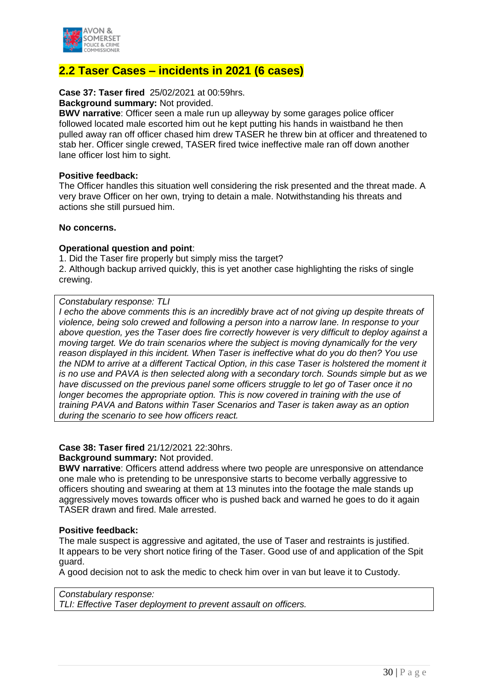

# **2.2 Taser Cases – incidents in 2021 (6 cases)**

#### **Case 37: Taser fired** 25/02/2021 at 00:59hrs.

#### **Background summary:** Not provided.

**BWV narrative**: Officer seen a male run up alleyway by some garages police officer followed located male escorted him out he kept putting his hands in waistband he then pulled away ran off officer chased him drew TASER he threw bin at officer and threatened to stab her. Officer single crewed, TASER fired twice ineffective male ran off down another lane officer lost him to sight.

#### **Positive feedback:**

The Officer handles this situation well considering the risk presented and the threat made. A very brave Officer on her own, trying to detain a male. Notwithstanding his threats and actions she still pursued him.

#### **No concerns.**

#### **Operational question and point**:

1. Did the Taser fire properly but simply miss the target?

2. Although backup arrived quickly, this is yet another case highlighting the risks of single crewing.

#### *Constabulary response: TLI*

*I echo the above comments this is an incredibly brave act of not giving up despite threats of violence, being solo crewed and following a person into a narrow lane. In response to your above question, yes the Taser does fire correctly however is very difficult to deploy against a moving target. We do train scenarios where the subject is moving dynamically for the very reason displayed in this incident. When Taser is ineffective what do you do then? You use the NDM to arrive at a different Tactical Option, in this case Taser is holstered the moment it is no use and PAVA is then selected along with a secondary torch. Sounds simple but as we have discussed on the previous panel some officers struggle to let go of Taser once it no longer becomes the appropriate option. This is now covered in training with the use of training PAVA and Batons within Taser Scenarios and Taser is taken away as an option during the scenario to see how officers react.*

#### **Case 38: Taser fired** 21/12/2021 22:30hrs.

#### **Background summary:** Not provided.

**BWV narrative**: Officers attend address where two people are unresponsive on attendance one male who is pretending to be unresponsive starts to become verbally aggressive to officers shouting and swearing at them at 13 minutes into the footage the male stands up aggressively moves towards officer who is pushed back and warned he goes to do it again TASER drawn and fired. Male arrested.

#### **Positive feedback:**

The male suspect is aggressive and agitated, the use of Taser and restraints is justified. It appears to be very short notice firing of the Taser. Good use of and application of the Spit guard.

A good decision not to ask the medic to check him over in van but leave it to Custody.

#### *Constabulary response: TLI: Effective Taser deployment to prevent assault on officers.*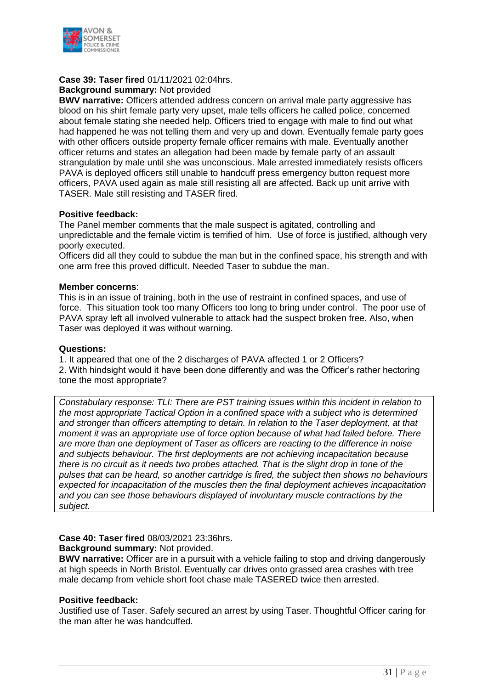

# **Case 39: Taser fired** 01/11/2021 02:04hrs.

**Background summary:** Not provided

**BWV narrative:** Officers attended address concern on arrival male party aggressive has blood on his shirt female party very upset, male tells officers he called police, concerned about female stating she needed help. Officers tried to engage with male to find out what had happened he was not telling them and very up and down. Eventually female party goes with other officers outside property female officer remains with male. Eventually another officer returns and states an allegation had been made by female party of an assault strangulation by male until she was unconscious. Male arrested immediately resists officers PAVA is deployed officers still unable to handcuff press emergency button request more officers, PAVA used again as male still resisting all are affected. Back up unit arrive with TASER. Male still resisting and TASER fired.

#### **Positive feedback:**

The Panel member comments that the male suspect is agitated, controlling and unpredictable and the female victim is terrified of him. Use of force is justified, although very poorly executed.

Officers did all they could to subdue the man but in the confined space, his strength and with one arm free this proved difficult. Needed Taser to subdue the man.

#### **Member concerns**:

This is in an issue of training, both in the use of restraint in confined spaces, and use of force. This situation took too many Officers too long to bring under control. The poor use of PAVA spray left all involved vulnerable to attack had the suspect broken free. Also, when Taser was deployed it was without warning.

#### **Questions:**

1. It appeared that one of the 2 discharges of PAVA affected 1 or 2 Officers? 2. With hindsight would it have been done differently and was the Officer's rather hectoring tone the most appropriate?

*Constabulary response: TLI: There are PST training issues within this incident in relation to the most appropriate Tactical Option in a confined space with a subject who is determined and stronger than officers attempting to detain. In relation to the Taser deployment, at that moment it was an appropriate use of force option because of what had failed before. There are more than one deployment of Taser as officers are reacting to the difference in noise and subjects behaviour. The first deployments are not achieving incapacitation because there is no circuit as it needs two probes attached. That is the slight drop in tone of the pulses that can be heard, so another cartridge is fired, the subject then shows no behaviours expected for incapacitation of the muscles then the final deployment achieves incapacitation and you can see those behaviours displayed of involuntary muscle contractions by the subject.*

#### **Case 40: Taser fired** 08/03/2021 23:36hrs.

#### **Background summary:** Not provided.

**BWV narrative:** Officer are in a pursuit with a vehicle failing to stop and driving dangerously at high speeds in North Bristol. Eventually car drives onto grassed area crashes with tree male decamp from vehicle short foot chase male TASERED twice then arrested.

#### **Positive feedback:**

Justified use of Taser. Safely secured an arrest by using Taser. Thoughtful Officer caring for the man after he was handcuffed.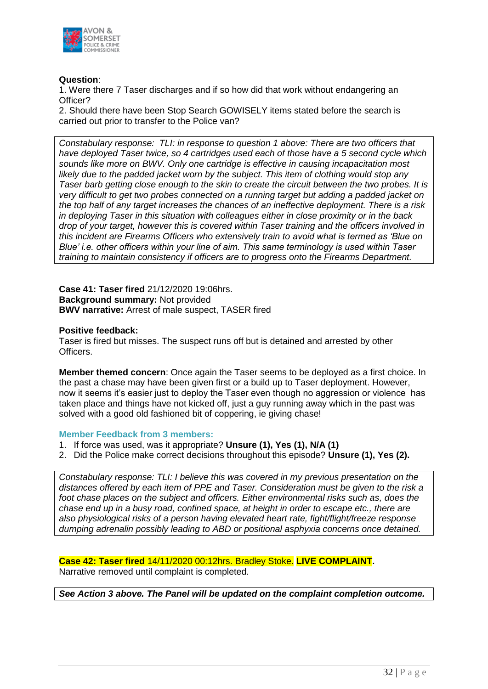

#### **Question**:

1. Were there 7 Taser discharges and if so how did that work without endangering an Officer?

2. Should there have been Stop Search GOWISELY items stated before the search is carried out prior to transfer to the Police van?

*Constabulary response: TLI: in response to question 1 above: There are two officers that have deployed Taser twice, so 4 cartridges used each of those have a 5 second cycle which sounds like more on BWV. Only one cartridge is effective in causing incapacitation most likely due to the padded jacket worn by the subject. This item of clothing would stop any Taser barb getting close enough to the skin to create the circuit between the two probes. It is very difficult to get two probes connected on a running target but adding a padded jacket on the top half of any target increases the chances of an ineffective deployment. There is a risk in deploying Taser in this situation with colleagues either in close proximity or in the back drop of your target, however this is covered within Taser training and the officers involved in this incident are Firearms Officers who extensively train to avoid what is termed as 'Blue on Blue' i.e. other officers within your line of aim. This same terminology is used within Taser training to maintain consistency if officers are to progress onto the Firearms Department.*

**Case 41: Taser fired** 21/12/2020 19:06hrs. **Background summary:** Not provided **BWV narrative:** Arrest of male suspect, TASER fired

#### **Positive feedback:**

Taser is fired but misses. The suspect runs off but is detained and arrested by other Officers.

**Member themed concern**: Once again the Taser seems to be deployed as a first choice. In the past a chase may have been given first or a build up to Taser deployment. However, now it seems it's easier just to deploy the Taser even though no aggression or violence has taken place and things have not kicked off, just a guy running away which in the past was solved with a good old fashioned bit of coppering, ie giving chase!

#### **Member Feedback from 3 members:**

- 1. If force was used, was it appropriate? **Unsure (1), Yes (1), N/A (1)**
- 2. Did the Police make correct decisions throughout this episode? **Unsure (1), Yes (2).**

*Constabulary response: TLI: I believe this was covered in my previous presentation on the distances offered by each item of PPE and Taser. Consideration must be given to the risk a foot chase places on the subject and officers. Either environmental risks such as, does the chase end up in a busy road, confined space, at height in order to escape etc., there are also physiological risks of a person having elevated heart rate, fight/flight/freeze response dumping adrenalin possibly leading to ABD or positional asphyxia concerns once detained.*

**Case 42: Taser fired** 14/11/2020 00:12hrs. Bradley Stoke. **LIVE COMPLAINT.** Narrative removed until complaint is completed.

*See Action 3 above. The Panel will be updated on the complaint completion outcome.*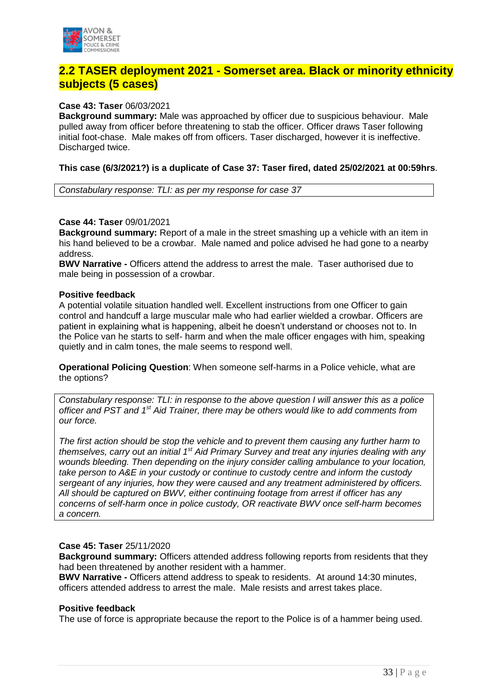

# **2.2 TASER deployment 2021 - Somerset area. Black or minority ethnicity subjects (5 cases)**

#### **Case 43: Taser** 06/03/2021

**Background summary:** Male was approached by officer due to suspicious behaviour. Male pulled away from officer before threatening to stab the officer. Officer draws Taser following initial foot-chase. Male makes off from officers. Taser discharged, however it is ineffective. Discharged twice.

#### **This case (6/3/2021?) is a duplicate of Case 37: Taser fired, dated 25/02/2021 at 00:59hrs**.

*Constabulary response: TLI: as per my response for case 37*

#### **Case 44: Taser** 09/01/2021

**Background summary:** Report of a male in the street smashing up a vehicle with an item in his hand believed to be a crowbar. Male named and police advised he had gone to a nearby address.

**BWV Narrative -** Officers attend the address to arrest the male. Taser authorised due to male being in possession of a crowbar.

#### **Positive feedback**

A potential volatile situation handled well. Excellent instructions from one Officer to gain control and handcuff a large muscular male who had earlier wielded a crowbar. Officers are patient in explaining what is happening, albeit he doesn't understand or chooses not to. In the Police van he starts to self- harm and when the male officer engages with him, speaking quietly and in calm tones, the male seems to respond well.

**Operational Policing Question**: When someone self-harms in a Police vehicle, what are the options?

*Constabulary response: TLI: in response to the above question I will answer this as a police officer and PST and 1st Aid Trainer, there may be others would like to add comments from our force.* 

*The first action should be stop the vehicle and to prevent them causing any further harm to themselves, carry out an initial 1st Aid Primary Survey and treat any injuries dealing with any wounds bleeding. Then depending on the injury consider calling ambulance to your location, take person to A&E in your custody or continue to custody centre and inform the custody sergeant of any injuries, how they were caused and any treatment administered by officers. All should be captured on BWV, either continuing footage from arrest if officer has any concerns of self-harm once in police custody, OR reactivate BWV once self-harm becomes a concern.*

#### **Case 45: Taser** 25/11/2020

**Background summary:** Officers attended address following reports from residents that they had been threatened by another resident with a hammer.

**BWV Narrative -** Officers attend address to speak to residents. At around 14:30 minutes, officers attended address to arrest the male. Male resists and arrest takes place.

#### **Positive feedback**

The use of force is appropriate because the report to the Police is of a hammer being used.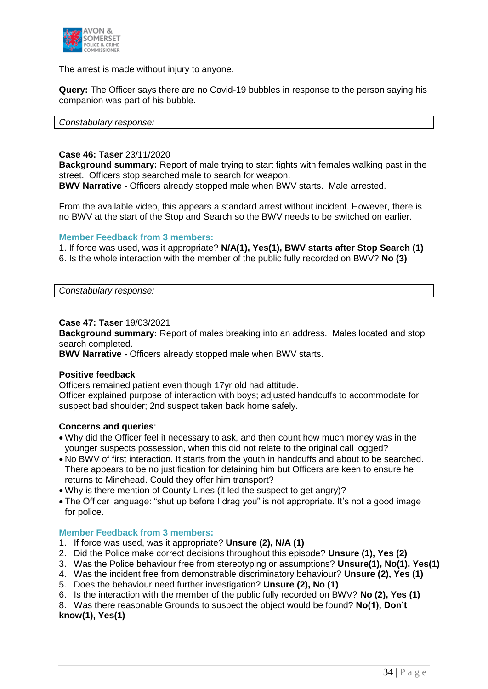

The arrest is made without injury to anyone.

**Query:** The Officer says there are no Covid-19 bubbles in response to the person saying his companion was part of his bubble.

#### *Constabulary response:*

#### **Case 46: Taser** 23/11/2020

**Background summary:** Report of male trying to start fights with females walking past in the street. Officers stop searched male to search for weapon.

**BWV Narrative -** Officers already stopped male when BWV starts. Male arrested.

From the available video, this appears a standard arrest without incident. However, there is no BWV at the start of the Stop and Search so the BWV needs to be switched on earlier.

#### **Member Feedback from 3 members:**

1. If force was used, was it appropriate? **N/A(1), Yes(1), BWV starts after Stop Search (1)** 6. Is the whole interaction with the member of the public fully recorded on BWV? **No (3)**

*Constabulary response:* 

#### **Case 47: Taser** 19/03/2021

**Background summary:** Report of males breaking into an address. Males located and stop search completed.

**BWV Narrative -** Officers already stopped male when BWV starts.

#### **Positive feedback**

Officers remained patient even though 17yr old had attitude. Officer explained purpose of interaction with boys; adjusted handcuffs to accommodate for suspect bad shoulder; 2nd suspect taken back home safely.

#### **Concerns and queries**:

- Why did the Officer feel it necessary to ask, and then count how much money was in the younger suspects possession, when this did not relate to the original call logged?
- No BWV of first interaction. It starts from the youth in handcuffs and about to be searched. There appears to be no justification for detaining him but Officers are keen to ensure he returns to Minehead. Could they offer him transport?
- Why is there mention of County Lines (it led the suspect to get angry)?
- The Officer language: "shut up before I drag you" is not appropriate. It's not a good image for police.

#### **Member Feedback from 3 members:**

- 1. If force was used, was it appropriate? **Unsure (2), N/A (1)**
- 2. Did the Police make correct decisions throughout this episode? **Unsure (1), Yes (2)**
- 3. Was the Police behaviour free from stereotyping or assumptions? **Unsure(1), No(1), Yes(1)**
- 4. Was the incident free from demonstrable discriminatory behaviour? **Unsure (2), Yes (1)**
- 5. Does the behaviour need further investigation? **Unsure (2), No (1)**
- 6. Is the interaction with the member of the public fully recorded on BWV? **No (2), Yes (1)**

8. Was there reasonable Grounds to suspect the object would be found? **No(1), Don't know(1), Yes(1)**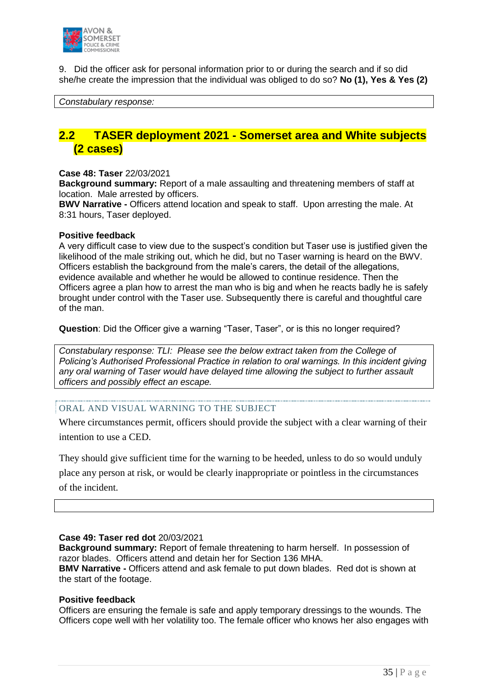

9. Did the officer ask for personal information prior to or during the search and if so did she/he create the impression that the individual was obliged to do so? **No (1), Yes & Yes (2)**

#### *Constabulary response:*

# **2.2 TASER deployment 2021 - Somerset area and White subjects (2 cases)**

#### **Case 48: Taser** 22/03/2021

**Background summary:** Report of a male assaulting and threatening members of staff at location. Male arrested by officers.

**BWV Narrative -** Officers attend location and speak to staff. Upon arresting the male. At 8:31 hours, Taser deployed.

#### **Positive feedback**

A very difficult case to view due to the suspect's condition but Taser use is justified given the likelihood of the male striking out, which he did, but no Taser warning is heard on the BWV. Officers establish the background from the male's carers, the detail of the allegations, evidence available and whether he would be allowed to continue residence. Then the Officers agree a plan how to arrest the man who is big and when he reacts badly he is safely brought under control with the Taser use. Subsequently there is careful and thoughtful care of the man.

**Question**: Did the Officer give a warning "Taser, Taser", or is this no longer required?

*Constabulary response: TLI: Please see the below extract taken from the College of Policing's Authorised Professional Practice in relation to oral warnings. In this incident giving any oral warning of Taser would have delayed time allowing the subject to further assault officers and possibly effect an escape.*

#### ORAL AND VISUAL WARNING TO THE SUBJECT

Where circumstances permit, officers should provide the subject with a clear warning of their intention to use a CED.

They should give sufficient time for the warning to be heeded, unless to do so would unduly place any person at risk, or would be clearly inappropriate or pointless in the circumstances of the incident.

#### **Case 49: Taser red dot** 20/03/2021

**Background summary:** Report of female threatening to harm herself. In possession of razor blades. Officers attend and detain her for Section 136 MHA. **BMV Narrative -** Officers attend and ask female to put down blades. Red dot is shown at the start of the footage.

#### **Positive feedback**

Officers are ensuring the female is safe and apply temporary dressings to the wounds. The Officers cope well with her volatility too. The female officer who knows her also engages with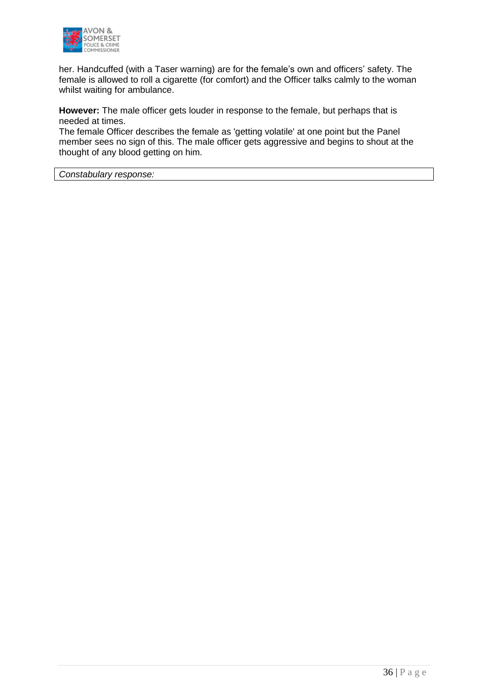

her. Handcuffed (with a Taser warning) are for the female's own and officers' safety. The female is allowed to roll a cigarette (for comfort) and the Officer talks calmly to the woman whilst waiting for ambulance.

**However:** The male officer gets louder in response to the female, but perhaps that is needed at times.

The female Officer describes the female as 'getting volatile' at one point but the Panel member sees no sign of this. The male officer gets aggressive and begins to shout at the thought of any blood getting on him.

*Constabulary response:*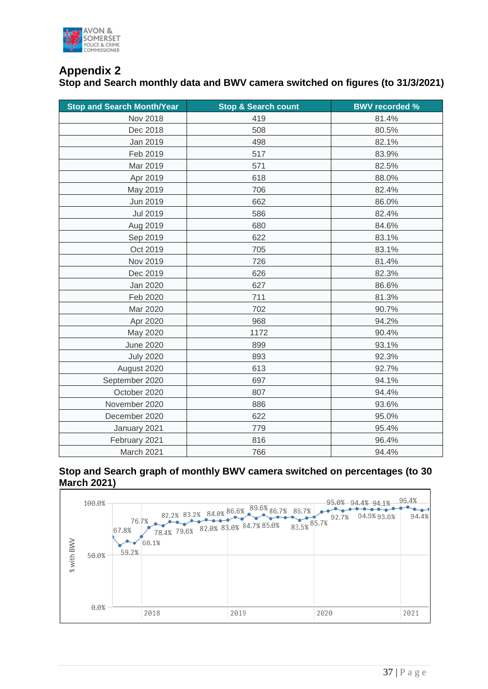

# **Appendix 2**

**Stop and Search monthly data and BWV camera switched on figures (to 31/3/2021)**

| <b>Stop and Search Month/Year</b> | <b>Stop &amp; Search count</b> | <b>BWV recorded %</b> |
|-----------------------------------|--------------------------------|-----------------------|
| <b>Nov 2018</b>                   | 419                            | 81.4%                 |
| Dec 2018                          | 508                            | 80.5%                 |
| Jan 2019                          | 498                            | 82.1%                 |
| Feb 2019                          | 517                            | 83.9%                 |
| Mar 2019                          | 571                            | 82.5%                 |
| Apr 2019                          | 618                            | 88.0%                 |
| May 2019                          | 706                            | 82.4%                 |
| Jun 2019                          | 662                            | 86.0%                 |
| <b>Jul 2019</b>                   | 586                            | 82.4%                 |
| Aug 2019                          | 680                            | 84.6%                 |
| Sep 2019                          | 622                            | 83.1%                 |
| Oct 2019                          | 705                            | 83.1%                 |
| Nov 2019                          | 726                            | 81.4%                 |
| Dec 2019                          | 626                            | 82.3%                 |
| Jan 2020                          | 627                            | 86.6%                 |
| Feb 2020                          | 711                            | 81.3%                 |
| Mar 2020                          | 702                            | 90.7%                 |
| Apr 2020                          | 968                            | 94.2%                 |
| May 2020                          | 1172                           | 90.4%                 |
| <b>June 2020</b>                  | 899                            | 93.1%                 |
| <b>July 2020</b>                  | 893                            | 92.3%                 |
| August 2020                       | 613                            | 92.7%                 |
| September 2020                    | 697                            | 94.1%                 |
| October 2020                      | 807                            | 94.4%                 |
| November 2020                     | 886                            | 93.6%                 |
| December 2020                     | 622                            | 95.0%                 |
| January 2021                      | 779                            | 95.4%                 |
| February 2021                     | 816                            | 96.4%                 |
| March 2021                        | 766                            | 94.4%                 |

#### **Stop and Search graph of monthly BWV camera switched on percentages (to 30 March 2021)**

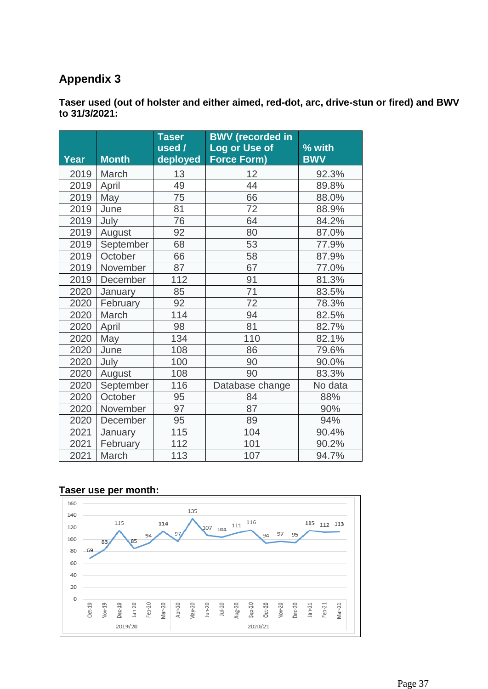# **Appendix 3**

**Taser used (out of holster and either aimed, red-dot, arc, drive-stun or fired) and BWV to 31/3/2021:**

| Year | <b>Month</b> | <b>Taser</b><br>used /<br>deployed | <b>BWV</b> (recorded in<br>Log or Use of<br><b>Force Form)</b> | % with<br><b>BWV</b> |
|------|--------------|------------------------------------|----------------------------------------------------------------|----------------------|
| 2019 | March        | 13                                 | 12                                                             | 92.3%                |
| 2019 | April        | 49                                 | 44                                                             | 89.8%                |
| 2019 | May          | 75                                 | 66                                                             | 88.0%                |
| 2019 | June         | 81                                 | 72                                                             | 88.9%                |
| 2019 | July         | 76                                 | 64                                                             | 84.2%                |
| 2019 | August       | 92                                 | 80                                                             | 87.0%                |
| 2019 | September    | 68                                 | 53                                                             | 77.9%                |
| 2019 | October      | 66                                 | 58                                                             | 87.9%                |
| 2019 | November     | 87                                 | 67                                                             | 77.0%                |
| 2019 | December     | 112                                | 91                                                             | 81.3%                |
| 2020 | January      | 85                                 | 71                                                             | 83.5%                |
| 2020 | February     | 92                                 | 72                                                             | 78.3%                |
| 2020 | March        | 114                                | 94                                                             | 82.5%                |
| 2020 | April        | 98                                 | 81                                                             | 82.7%                |
| 2020 | May          | 134                                | 110                                                            | 82.1%                |
| 2020 | June         | 108                                | 86                                                             | 79.6%                |
| 2020 | July         | 100                                | 90                                                             | 90.0%                |
| 2020 | August       | 108                                | 90                                                             | 83.3%                |
| 2020 | September    | 116                                | Database change                                                | No data              |
| 2020 | October      | 95                                 | 84                                                             | 88%                  |
| 2020 | November     | 97                                 | 87                                                             | 90%                  |
| 2020 | December     | 95                                 | 89                                                             | 94%                  |
| 2021 | January      | 115                                | 104                                                            | 90.4%                |
| 2021 | February     | 112                                | 101                                                            | 90.2%                |
| 2021 | March        | 113                                | 107                                                            | 94.7%                |